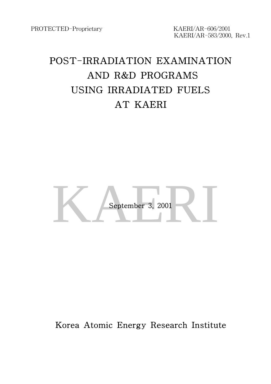KAERI/AR-583/2000, Rev.1

# POST-IRRADIATION EXAMINATION AND R&D PROGRAMS USING IRRADIATED FUELS AT KAERI



### Korea Atomic Energy Research Institute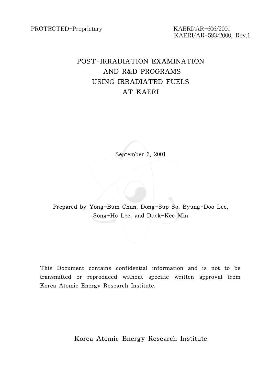KAERI/AR-583/2000, Rev.1

### POST-IRRADIATION EXAMINATION AND R&D PROGRAMS USING IRRADIATED FUELS AT KAERI

September 3, 2001

Prepared by Yong-Bum Chun, Dong-Sup So, Byung-Doo Lee, Song-Ho Lee, and Duck-Kee Min

This Document contains confidential information and is not to be transmitted or reproduced without specific written approval from Korea Atomic Energy Research Institute.

Korea Atomic Energy Research Institute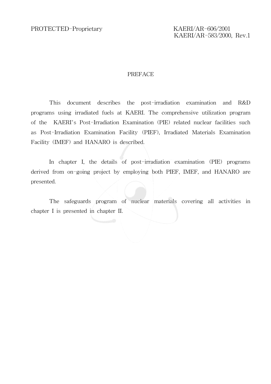KAERI/AR-583/2000, Rev.1

#### PREFACE

This document describes the post-irradiation examination and R&D programs using irradiated fuels at KAERI. The comprehensive utilization program of the KAERI's Post-Irradiation Examination (PIE) related nuclear facilities such as Post-Irradiation Examination Facility (PIEF), Irradiated Materials Examination Facility (IMEF) and HANARO is described.

In chapter I, the details of post-irradiation examination (PIE) programs derived from on-going project by employing both PIEF, IMEF, and HANARO are presented.

The safeguards program of nuclear materials covering all activities in chapter I is presented in chapter II.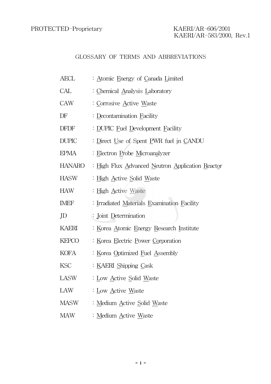### GLOSSARY OF TERMS AND ABBREVIATIONS

| AECL         | : Atomic Energy of Canada Limited                |  |  |  |
|--------------|--------------------------------------------------|--|--|--|
| CAL          | : Chemical Analysis Laboratory                   |  |  |  |
| CAW          | : Corrosive Active Waste                         |  |  |  |
| DF           | : Decontamination Facility                       |  |  |  |
| <b>DFDF</b>  | : DUPIC Fuel Development Facility                |  |  |  |
| <b>DUPIC</b> | : Direct Use of Spent PWR fuel in CANDU          |  |  |  |
| EPMA         | Electron Probe Microanalyzer                     |  |  |  |
| HANARO       | : High Flux Advanced Neutron Application Reactor |  |  |  |
| <b>HASW</b>  | : <u>High Active Solid Waste</u>                 |  |  |  |
| HAW          | : High Active Waste                              |  |  |  |
| <b>IMEF</b>  | : Irradiated Materials Examination Facility      |  |  |  |
| JD           | : Joint Determination                            |  |  |  |
| KAERI        | : Korea Atomic Energy Research Institute         |  |  |  |
| KEPCO        | : Korea Electric Power Corporation               |  |  |  |
| KOFA         | : Korea Optimized Fuel Assembly                  |  |  |  |
| <b>KSC</b>   | : KAERI Shipping Cask                            |  |  |  |
| LASW         | : Low Active Solid Waste                         |  |  |  |
| LAW          | : Low Active Waste                               |  |  |  |
| <b>MASW</b>  | : Medium Active Solid Waste                      |  |  |  |
| <b>MAW</b>   | : Medium Active Waste                            |  |  |  |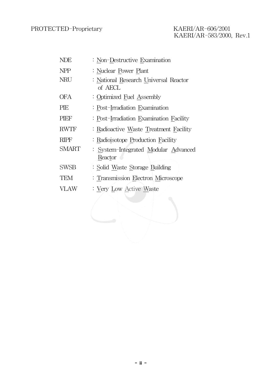# KAERI/AR-583/2000, Rev.1

| <b>NDE</b>   | : Non-Destructive Examination                    |
|--------------|--------------------------------------------------|
| <b>NPP</b>   | : Nuclear Power Plant                            |
| NRU          | : National Research Universal Reactor<br>of AECL |
| OFA          | : Optimized Fuel Assembly                        |
| PIE          | : Post-Irradiation Examination                   |
| PIEF         | : Post-Irradiation Examination Facility          |
| <b>RWTF</b>  | : Radioactive Waste Treatment Facility           |
| <b>RIPF</b>  | : Radioisotope Production Facility               |
| <b>SMART</b> | : System-Integrated Modular Advanced<br>Reactor  |
| <b>SWSB</b>  | : Solid Waste Storage Building                   |
| <b>TEM</b>   | : Transmission Electron Microscope               |
| <b>VLAW</b>  | : Very Low Active Waste                          |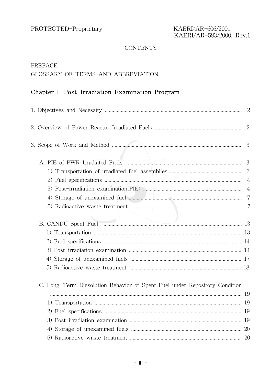#### **CONTENTS**

#### PREFACE

### GLOSSARY OF TERMS AND ABBREVIATION

### Chapter I. Post-Irradiation Examination Program

|                                                                            | $\overline{2}$ |
|----------------------------------------------------------------------------|----------------|
|                                                                            | 2              |
|                                                                            | 3              |
| A. PIE of PWR Irradiated Fuels                                             | 3              |
|                                                                            | 3              |
|                                                                            | $\overline{4}$ |
|                                                                            | $\overline{4}$ |
|                                                                            |                |
|                                                                            | -7             |
|                                                                            |                |
|                                                                            |                |
|                                                                            |                |
|                                                                            |                |
|                                                                            |                |
|                                                                            |                |
|                                                                            |                |
| C. Long-Term Dissolution Behavior of Spent Fuel under Repository Condition |                |
|                                                                            |                |
|                                                                            |                |
|                                                                            |                |
|                                                                            |                |
|                                                                            |                |
|                                                                            |                |
|                                                                            |                |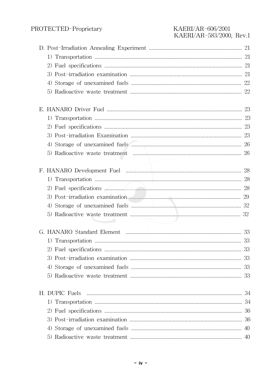| 1) Transportation \\\essert\\essert\\essert\\essert\\essert\\essert\\essert\\essert\\essert\\essert\\essert\\essert\\essert\\essert\\essert\\essert\\essert\\essert\\essert\\essert\\essert\\essert\\essert\\essert\\essert\\e |  |
|--------------------------------------------------------------------------------------------------------------------------------------------------------------------------------------------------------------------------------|--|
| 2) Fuel specifications 28                                                                                                                                                                                                      |  |
|                                                                                                                                                                                                                                |  |
|                                                                                                                                                                                                                                |  |
| 5)                                                                                                                                                                                                                             |  |
|                                                                                                                                                                                                                                |  |
|                                                                                                                                                                                                                                |  |
|                                                                                                                                                                                                                                |  |
|                                                                                                                                                                                                                                |  |
|                                                                                                                                                                                                                                |  |
|                                                                                                                                                                                                                                |  |
|                                                                                                                                                                                                                                |  |
|                                                                                                                                                                                                                                |  |
|                                                                                                                                                                                                                                |  |
|                                                                                                                                                                                                                                |  |
|                                                                                                                                                                                                                                |  |
|                                                                                                                                                                                                                                |  |
| 5)                                                                                                                                                                                                                             |  |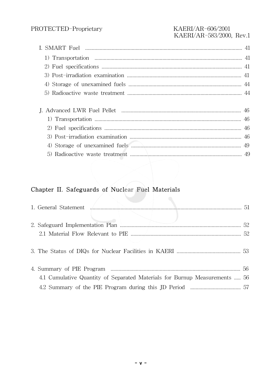### PROTECTED-Proprietary

#### KAERI/AR-606/2001 KAERI/AR-583/2000, Rev.1

| (5) |
|-----|
|     |
|     |
|     |
|     |
|     |
|     |
|     |

### Chapter II. Safeguards of Nuclear Fuel Materials

| 4.1 Cumulative Quantity of Separated Materials for Burnup Measurements  56 |  |
|----------------------------------------------------------------------------|--|
|                                                                            |  |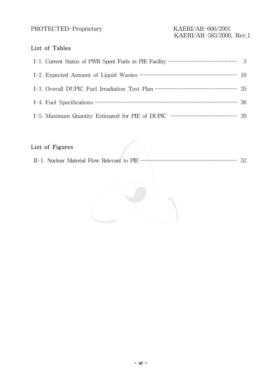# KAERI/AR-583/2000, Rev.1

#### List of Tables

### List of Figures

|--|--|--|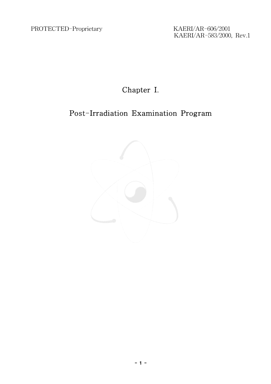KAERI/AR-583/2000, Rev.1

### Chapter I.

### Post-Irradiation Examination Program

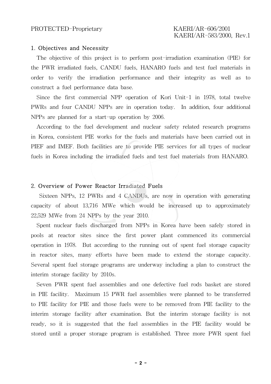#### 1. Objectives and Necessity

The objective of this project is to perform post-irradiation examination (PIE) for the PWR irradiated fuels, CANDU fuels, HANARO fuels and test fuel materials in order to verify the irradiation performance and their integrity as well as to construct a fuel performance data base.

Since the first commercial NPP operation of Kori Unit-1 in 1978, total twelve PWRs and four CANDU NPPs are in operation today. In addition, four additional NPPs are planned for a start-up operation by 2006.

According to the fuel development and nuclear safety related research programs in Korea, consistent PIE works for the fuels and materials have been carried out in PIEF and IMEF. Both facilities are to provide PIE services for all types of nuclear fuels in Korea including the irradiated fuels and test fuel materials from HANARO.

#### 2. Overview of Power Reactor Irradiated Fuels

Sixteen NPPs, 12 PWRs and 4 CANDUs, are now in operation with generating capacity of about 13,716 MWe which would be increased up to approximately 22,529 MWe from 24 NPPs by the year 2010.

Spent nuclear fuels discharged from NPPs in Korea have been safely stored in pools at reactor sites since the first power plant commenced its commercial operation in 1978. But according to the running out of spent fuel storage capacity in reactor sites, many efforts have been made to extend the storage capacity. Several spent fuel storage programs are underway including a plan to construct the interim storage facility by 2010s.

Seven PWR spent fuel assemblies and one defective fuel rods basket are stored in PIE facility. Maximum 15 PWR fuel assemblies were planned to be transferred to PIE facility for PIE and those fuels were to be removed from PIE facility to the interim storage facility after examination. But the interim storage facility is not ready, so it is suggested that the fuel assemblies in the PIE facility would be stored until a proper storage program is established. Three more PWR spent fuel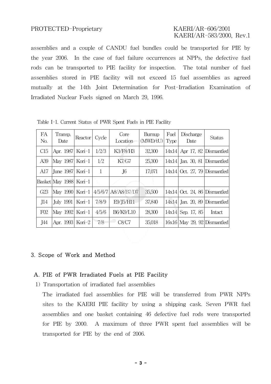### KAERI/AR-583/2000, Rev.1

assemblies and a couple of CANDU fuel bundles could be transported for PIE by the year 2006. In the case of fuel failure occurrences at NPPs, the defective fuel rods can be transported to PIE facility for inspection. The total number of fuel assemblies stored in PIE facility will not exceed 15 fuel assemblies as agreed mutually at the 14th Joint Determination for Post-Irradiation Examination of Irradiated Nuclear Fuels signed on March 29, 1996.

| FA<br>No. | Transp.<br>Date        | Reactor   | Cycle | Core<br>Location    | Burnup<br>(MWD/tU) | Fuel<br>Type <sup>1</sup> | Discharge<br>Date              | <b>Status</b> |
|-----------|------------------------|-----------|-------|---------------------|--------------------|---------------------------|--------------------------------|---------------|
| C15       | Apr. 1987              | Kori-1    | 1/2/3 | K3/F8/H3            | 32,300             | 14x14                     | Apr 17, 82 Dismantled          |               |
| A39       | May 1987               | Kori $-1$ | 1/2   | K7/G7               | 25,300             | 14x14                     | Jan. 30, 81 Dismantled         |               |
| A17       | June 1987              | Kori $-1$ | 1     | J6                  | 17,071             | 14x14                     | Oct. 27, 79 Dismantled         |               |
|           | Basket May 1988 Kori-1 |           |       |                     |                    |                           |                                |               |
| G23       | May 1990  Kori-1       |           |       | 4/5/6/7 A8/A8/B7/D7 | 35,500             | 14x14                     | Oct. 24, 86 Dismantled         |               |
| J14       | <b>July 1991</b>       | Kori $-1$ | 7/8/9 | E9/J5/H11           | 37,840             |                           | $14x14$ Jan. 20, 89 Dismantled |               |
| F02       | May 1992               | Kori $-1$ | 4/5/6 | B6/K9/L10           | 28,300             |                           | $14x14$ Sep. 17, 85            | Intact        |
| J44       | Apr. 1993              | Kori-2    | 7/8   | C8/C7               | 35,018             |                           | $16x16$ May 29, 92 Dismantled  |               |

Table I-1. Current Status of PWR Spent Fuels in PIE Facility

#### 3. Scope of Work and Method

#### A. PIE of PWR Irradiated Fuels at PIE Facility

1) Transportation of irradiated fuel assemblies

The irradiated fuel assemblies for PIE will be transferred from PWR NPPs sites to the KAERI PIE facility by using a shipping cask. Seven PWR fuel assemblies and one basket containing 46 defective fuel rods were transported for PIE by 2000. A maximum of three PWR spent fuel assemblies will be transported for PIE by the end of 2006.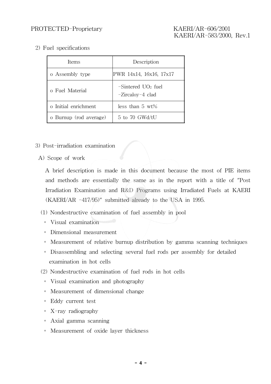2) Fuel specifications

| Items                  | Description                              |  |
|------------------------|------------------------------------------|--|
| o Assembly type        | PWR 14x14, 16x16, 17x17                  |  |
| o Fuel Material        | $-Sintered UO2 fuel$<br>-Zircaloy-4 clad |  |
| o Initial enrichment   | less than $5 \text{ wt\%}$               |  |
| o Burnup (rod average) | 5 to 70 GWd/tU                           |  |

- 3) Post-irradiation examination
- A) Scope of work

A brief description is made in this document because the most of PIE items and methods are essentially the same as in the report with a title of "Post Irradiation Examination and R&D Programs using Irradiated Fuels at KAERI (KAERI/AR -417/95)" submitted already to the USA in 1995.

#### (1) Nondestructive examination of fuel assembly in pool

- ∘ Visual examination
- ∘ Dimensional measurement
- ∘ Measurement of relative burnup distribution by gamma scanning techniques
- ∘ Disassembling and selecting several fuel rods per assembly for detailed examination in hot cells
- (2) Nondestructive examination of fuel rods in hot cells
	- ∘ Visual examination and photography
	- ∘ Measurement of dimensional change
	- ∘ Eddy current test
	- ∘ X-ray radiography
	- ∘ Axial gamma scanning
	- ∘ Measurement of oxide layer thickness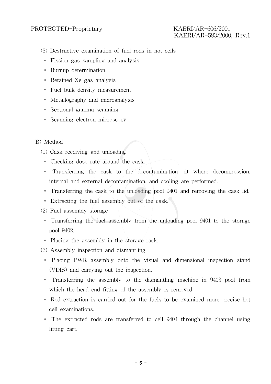# KAERI/AR-583/2000, Rev.1

- (3) Destructive examination of fuel rods in hot cells
	- ∘ Fission gas sampling and analysis
	- ∘ Burnup determination
	- ∘ Retained Xe gas analysis
	- ∘ Fuel bulk density measurement
	- ∘ Metallography and microanalysis
	- ∘ Sectional gamma scanning
	- ∘ Scanning electron microscopy

#### B) Method

- (1) Cask receiving and unloading
	- ∘ Checking dose rate around the cask.
	- ∘ Transferring the cask to the decontamination pit where decompression, internal and external decontamination, and cooling are performed.
	- ∘ Transferring the cask to the unloading pool 9401 and removing the cask lid.
	- ∘ Extracting the fuel assembly out of the cask.
- (2) Fuel assembly storage
	- ∘ Transferring the fuel assembly from the unloading pool 9401 to the storage pool 9402.
- ∘ Placing the assembly in the storage rack.
- (3) Assembly inspection and dismantling
	- ∘ Placing PWR assembly onto the visual and dimensional inspection stand (VDIS) and carrying out the inspection.
	- ∘ Transferring the assembly to the dismantling machine in 9403 pool from which the head end fitting of the assembly is removed.
	- ∘ Rod extraction is carried out for the fuels to be examined more precise hot cell examinations.
	- ∘ The extracted rods are transferred to cell 9404 through the channel using lifting cart.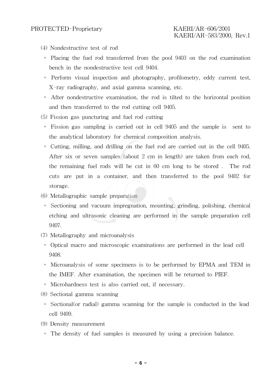- (4) Nondestructive test of rod
	- ∘ Placing the fuel rod transferred from the pool 9403 on the rod examination bench in the nondestructive test cell 9404.
	- ∘ Perform visual inspection and photography, profilometry, eddy current test, X-ray radiography, and axial gamma scanning, etc.
	- ∘ After nondestructive examination, the rod is tilted to the horizontal position and then transferred to the rod cutting cell 9405.
- (5) Fission gas puncturing and fuel rod cutting
- ∘ Fission gas sampling is carried out in cell 9405 and the sample is sent to the analytical laboratory for chemical composition analysis.
- ∘ Cutting, milling, and drilling on the fuel rod are carried out in the cell 9405. After six or seven samples (about 2 cm in length) are taken from each rod, the remaining fuel rods will be cut in 60 cm long to be stored . The rod cuts are put in a container, and then transferred to the pool 9402 for storage.
- (6) Metallographic sample preparation
- ∘ Sectioning and vacuum impregnation, mounting, grinding, polishing, chemical etching and ultrasonic cleaning are performed in the sample preparation cell 9407.
- (7) Metallography and microanalysis
	- ∘ Optical macro and microscopic examinations are performed in the lead cell 9408.
	- ∘ Microanalysis of some specimens is to be performed by EPMA and TEM in the IMEF. After examination, the specimen will be returned to PIEF.
- ∘ Microhardness test is also carried out, if necessary.
- (8) Sectional gamma scanning
	- ∘ Sectional(or radial) gamma scanning for the sample is conducted in the lead cell 9409.
- (9) Density measurement
- ∘ The density of fuel samples is measured by using a precision balance.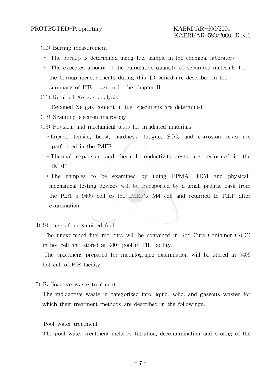- (10) Burnup measurement
	- ∘ The burnup is determined using fuel sample in the chemical laboratory.
	- ∘ The expected amount of the cumulative quantity of separated materials for the burnup measurements during this JD period are described in the summary of PIE program in the chapter II.
- (11) Retained Xe gas analysis

Retained Xe gas content in fuel specimens are determined.

- (12) Scanning electron microsopy
- (13) Physical and mechanical tests for irradiated materials
	- ∘Impact, tensile, burst, hardness, fatigue, SCC, and corrosion tests are performed in the IMEF.
	- ∘Thermal expansion and thermal conductivity tests are performed in the IMEF.

∘The samples to be examined by using EPMA, TEM and physical/ mechanical testing devices will be transported by a small padirac cask from the PIEF's 9405 cell to the IMEF's M4 cell and returned to PIEF after examination.

4) Storage of unexamined fuel

The unexamined fuel rod cuts will be contained in Rod Cuts Container (RCC) in hot cell and stored at 9402 pool in PIE facility.

The specimens prepared for metallograpic examination will be stored in 9406 hot cell of PIE facility.

5) Radioactive waste treatment

The radioactive waste is categorized into liquid, solid, and gaseous wastes for which their treatment methods are described in the followings.

- Pool water treatment

The pool water treatment includes filtration, decontamination and cooling of the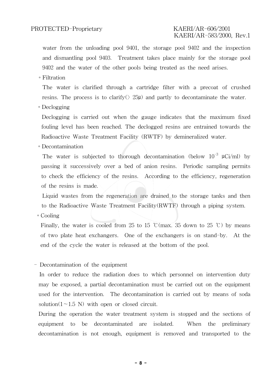### KAERI/AR-583/2000, Rev.1

water from the unloading pool 9401, the storage pool 9402 and the inspection and dismantling pool 9403. Treatment takes place mainly for the storage pool 9402 and the water of the other pools being treated as the need arises.

∘Filtration

The water is clarified through a cartridge filter with a precoat of crushed resins. The process is to clarify( $\geq$  25 $\mu$ ) and partly to decontaminate the water.

∘Declogging

Declogging is carried out when the gauge indicates that the maximum fixed fouling level has been reached. The declogged resins are entrained towards the Radioactive Waste Treatment Facility (RWTF) by demineralized water.

∘Decontamination

The water is subjected to thorough decontamination (below  $10^{-3}$   $\mu$ Ci/ml) by passing it successively over a bed of anion resins. Periodic sampling permits to check the efficiency of the resins. According to the efficiency, regeneration of the resins is made.

Liquid wastes from the regeneration are drained to the storage tanks and then to the Radioactive Waste Treatment Facility(RWTF) through a piping system.

∘Cooling

Finally, the water is cooled from 25 to 15 °C(max. 35 down to 25 °C) by means of two plate heat exchangers. One of the exchangers is on stand-by. At the end of the cycle the water is released at the bottom of the pool.

#### - Decontamination of the equipment

In order to reduce the radiation does to which personnel on intervention duty may be exposed, a partial decontamination must be carried out on the equipment used for the intervention. The decontamination is carried out by means of soda solution( $1~1.5~$ N) with open or closed circuit.

During the operation the water treatment system is stopped and the sections of equipment to be decontaminated are isolated. When the preliminary decontamination is not enough, equipment is removed and transported to the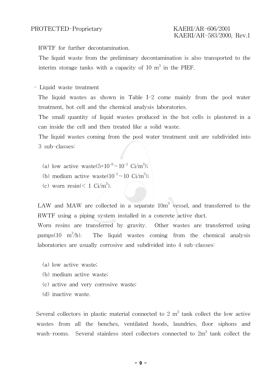RWTF for further decontamination.

The liquid waste from the preliminary decontamination is also transported to the interim storage tanks with a capacity of 10  $\mathrm{m}^{3}$  in the PIEF.

- Liquid waste treatment

The liquid wastes as shown in Table I-2 come mainly from the pool water treatment, hot cell and the chemical analysis laboratories.

The small quantity of liquid wastes produced in the hot cells is plastered in a can inside the cell and then treated like a solid waste.

The liquid wastes coming from the pool water treatment unit are subdivided into 3 sub-classes:

- (a) low active waste( $5 \times 10^{-6} \sim 10^{-1}$  Ci/m<sup>3</sup>);
- (b) medium active waste $(10^{-1} \sim 10 \text{ Ci/m}^3)$ ;
- (c) worn resin( $\leq 1$  Ci/m<sup>3</sup>).

LAW and MAW are collected in a separate  $10m<sup>3</sup>$  vessel, and transferred to the RWTF using a piping system installed in a concrete active duct.

Worn resins are transferred by gravity. Other wastes are transferred using pumps $(10 \quad \text{m}^3)$ The liquid wastes coming from the chemical analysis laboratories are usually corrosive and subdivided into 4 sub-classes:

- (a) low active waste;
- (b) medium active waste;
- (c) active and very corrosive waste;
- (d) inactive waste.

Several collectors in plastic material connected to 2  $m<sup>3</sup>$  tank collect the low active wastes from all the benches, ventilated hoods, laundries, floor siphons and wash-rooms. Several stainless steel collectors connected to  $2m<sup>3</sup>$  tank collect the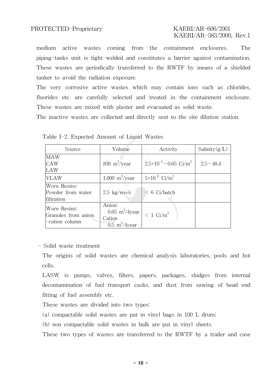# KAERI/AR-583/2000, Rev.1

medium active wastes coming from the containment enclosures. The piping-tanks unit is tight-welded and constitutes a barrier against contamination. These wastes are periodically transferred to the RWTF by means of a shielded tanker to avoid the radiation exposure.

The very corrosive active wastes which may contain ions such as chlorides, fluorides etc. are carefully selected and treated in the containment enclosure. These wastes are mixed with plaster and evacuated as solid waste.

The inactive wastes are collected and directly sent to the site dilution station.

| Source                                                | Volume                                                                                  | Activity                                      | Salinity $(g/L)$ |
|-------------------------------------------------------|-----------------------------------------------------------------------------------------|-----------------------------------------------|------------------|
| MAW<br>CAW<br>LAW                                     | 830 $m^3$ /year                                                                         | $2.5 \times 10^{-3} \sim 0.65 \text{ Ci/m}^3$ | $2.5 - 48.4$     |
| VLAW                                                  | 1,000 $\rm m^3/year$                                                                    | $5 \times 10^{-6}$ Ci/m <sup>3</sup>          |                  |
| Worn Resins:<br>Powder from water<br>filtration       | $2.5 \text{ kg/week}$                                                                   | $< 6$ Ci/batch                                |                  |
| Worn Resins:<br>Granules from anion<br>-cation column | Anion:<br>$0.65 \text{ m}^3/4 \text{year}$<br>Cation<br>$0.5 \text{ m}^3/4 \text{year}$ | $< 1$ Ci/m <sup>3</sup>                       |                  |

Table I-2. Expected Amount of Liquid Wastes

#### - Solid waste treatment

The origins of solid wastes are chemical analysis laboratories, pools and hot cells.

LASW is pumps, valves, filters, papers, packages, sludges from internal decontamination of fuel transport casks, and dust from sawing of head end fitting of fuel assembly etc.

These wastes are divided into two types:

(a) compactable solid wastes are put in vinyl bags in 100 L drum;

(b) non compactable solid wastes in bulk are put in vinyl sheets.

These two types of wastes are transferred to the RWTF by a trailer and case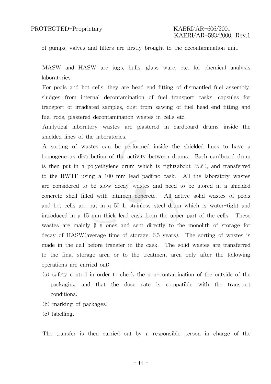of pumps, valves and filters are firstly brought to the decontamination unit.

MASW and HASW are jugs, hulls, glass ware, etc. for chemical analysis laboratories.

For pools and hot cells, they are head-end fitting of dismantled fuel assembly, sludges from internal decontamination of fuel transport casks, capsules for transport of irradiated samples, dust from sawing of fuel head-end fitting and fuel rods, plastered decontamination wastes in cells etc.

Analytical laboratory wastes are plastered in cardboard drums inside the shielded lines of the laboratories.

A sorting of wastes can be performed inside the shielded lines to have a homogeneous distribution of the activity between drums. Each cardboard drum is then put in a polyethylene drum which is tight(about  $25\ell$ ), and transferred to the RWTF using a 100 mm lead padirac cask. All the laboratory wastes are considered to be slow decay wastes and need to be stored in a shielded concrete shell filled with bitumen concrete. All active solid wastes of pools and hot cells are put in a 50 L stainless steel drum which is water-tight and introduced in a 15 mm thick lead cask from the upper part of the cells. These wastes are mainly  $\beta-\gamma$  ones and sent directly to the monolith of storage for decay of HASW(average time of storage: 6.5 years). The sorting of wastes is made in the cell before transfer in the cask. The solid wastes are transferred to the final storage area or to the treatment area only after the following operations are carried out:

- (a) safety control in order to check the non-contamination of the outside of the packaging and that the dose rate is compatible with the transport conditions;
- (b) marking of packages;

(c) labelling.

The transfer is then carried out by a responsible person in charge of the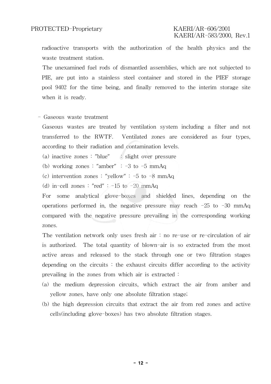radioactive transports with the authorization of the health physics and the waste treatment station.

The unexamined fuel rods of dismantled assemblies, which are not subjected to PIE, are put into a stainless steel container and stored in the PIEF storage pool 9402 for the time being, and finally removed to the interim storage site when it is ready.

- Gaseous waste treatment

Gaseous wastes are treated by ventilation system including a filter and not transferred to the RWTF. Ventilated zones are considered as four types, according to their radiation and contamination levels.

(a) inactive zones : "blue" : slight over pressure

- (b) working zones : "amber"  $: -3$  to  $-5$  mmAq
- (c) intervention zones : "yellow" :  $-5$  to  $-8$  mmAq
- (d) in-cell zones : "red" :  $-15$  to  $-20$  mmAq

For some analytical glove-boxes and shielded lines, depending on the operations performed in, the negative pressure may reach  $-25$  to  $-30$  mmAq compared with the negative pressure prevailing in the corresponding working zones.

The ventilation network only uses fresh air  $\colon$  no re-use or re-circulation of air is authorized. The total quantity of blown-air is so extracted from the most active areas and released to the stack through one or two filtration stages depending on the circuits : the exhaust circuits differ according to the activity prevailing in the zones from which air is extracted :

- (a) the medium depression circuits, which extract the air from amber and yellow zones, have only one absolute filtration stage;
- (b) the high depression circuits that extract the air from red zones and active cells(including glove-boxes) has two absolute filtration stages.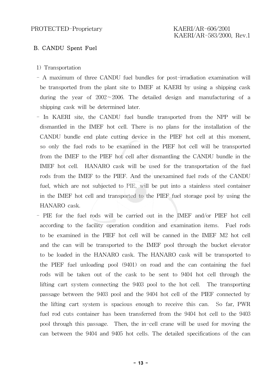#### B. CANDU Spent Fuel

- 1) Transportation
- A maximum of three CANDU fuel bundles for post-irradiation examination will be transported from the plant site to IMEF at KAERI by using a shipping cask during the year of 2002∼2006. The detailed design and manufacturing of a shipping cask will be determined later.
- In KAERI site, the CANDU fuel bundle transported from the NPP will be dismantled in the IMEF hot cell. There is no plans for the installation of the CANDU bundle end plate cutting device in the PIEF hot cell at this moment, so only the fuel rods to be examined in the PIEF hot cell will be transported from the IMEF to the PIEF hot cell after dismantling the CANDU bundle in the IMEF hot cell. HANARO cask will be used for the transportation of the fuel rods from the IMEF to the PIEF. And the unexamined fuel rods of the CANDU fuel, which are not subjected to PIE, will be put into a stainless steel container in the IMEF hot cell and transported to the PIEF fuel storage pool by using the HANARO cask.
- PIE for the fuel rods will be carried out in the IMEF and/or PIEF hot cell according to the facility operation condition and examination items. Fuel rods to be examined in the PIEF hot cell will be canned in the IMEF M2 hot cell and the can will be transported to the IMEF pool through the bucket elevator to be loaded in the HANARO cask. The HANARO cask will be transported to the PIEF fuel unloading pool (9401) on road and the can containing the fuel rods will be taken out of the cask to be sent to 9404 hot cell through the lifting cart system connecting the 9403 pool to the hot cell. The transporting passage between the 9403 pool and the 9404 hot cell of the PIEF connected by the lifting cart system is spacious enough to receive this can. So far, PWR fuel rod cuts container has been transferred from the 9404 hot cell to the 9403 pool through this passage. Then, the in-cell crane will be used for moving the can between the 9404 and 9405 hot cells. The detailed specifications of the can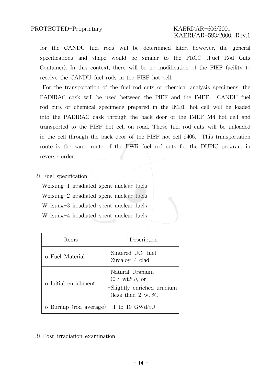for the CANDU fuel rods will be determined later, however, the general specifications and shape would be similar to the FRCC (Fuel Rod Cuts Container). In this context, there will be no modification of the PIEF facility to receive the CANDU fuel rods in the PIEF hot cell.

- For the transportation of the fuel rod cuts or chemical analysis specimens, the PADIRAC cask will be used between the PIEF and the IMEF. CANDU fuel rod cuts or chemical specimens prepared in the IMEF hot cell will be loaded into the PADIRAC cask through the back door of the IMEF M4 hot cell and transported to the PIEF hot cell on road. These fuel rod cuts will be unloaded in the cell through the back door of the PIEF hot cell 9406. This transportation route is the same route of the PWR fuel rod cuts for the DUPIC program in reverse order.
- 2) Fuel specification

Wolsung-1 irradiated spent nuclear fuels Wolsung-2 irradiated spent nuclear fuels Wolsung-3 irradiated spent nuclear fuels Wolsung-4 irradiated spent nuclear fuels

| Items                  | Description                                                                                                    |
|------------------------|----------------------------------------------------------------------------------------------------------------|
| o Fuel Material        | $-Sintered UO2 fuel$<br>-Zircaloy-4 clad                                                                       |
| o Initial enrichment   | -Natural Uranium<br>$(0.7 \text{ wt.}\%)$ , or<br>-Slightly enriched uranium<br>(less than $2 \text{ wt.}\%$ ) |
| o Burnup (rod average) | 1 to 10 GWd/tU                                                                                                 |

3) Post-irradiation examination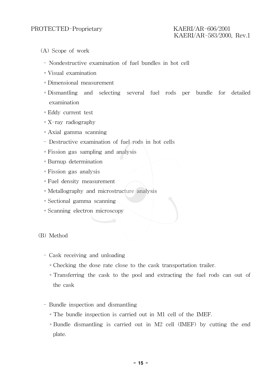- (A) Scope of work
	- Nondestructive examination of fuel bundles in hot cell
	- ∘Visual examination
	- ∘Dimensional measurement
	- ∘Dismantling and selecting several fuel rods per bundle for detailed examination
	- ∘Eddy current test
	- ∘X-ray radiography
	- ∘Axial gamma scanning
	- Destructive examination of fuel rods in hot cells
	- ∘Fission gas sampling and analysis
	- ∘Burnup determination
	- ∘Fission gas analysis
	- ∘Fuel density measurement
	- ∘Metallography and microstructure analysis
	- ∘Sectional gamma scanning
	- ∘Scanning electron microscopy

#### (B) Method

- Cask receiving and unloading
	- ∘Checking the dose rate close to the cask transportation trailer.
	- ∘Transferring the cask to the pool and extracting the fuel rods can out of the cask
- Bundle inspection and dismantling
	- ∘The bundle inspection is carried out in M1 cell of the IMEF.
	- ∘Bundle dismantling is carried out in M2 cell (IMEF) by cutting the end plate.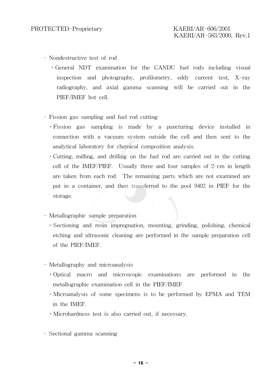- Nondestructive test of rod
	- ∘General NDT examination for the CANDU fuel rods including visual inspection and photography, profilometry, eddy current test, X-ray radiography, and axial gamma scanning will be carried out in the PIEF/IMEF hot cell.
- Fission gas sampling and fuel rod cutting
	- ∘Fission gas sampling is made by a puncturing device installed in connection with a vacuum system outside the cell and then sent to the analytical laboratory for chemical composition analysis.
	- ∘Cutting, milling, and drilling on the fuel rod are carried out in the cutting cell of the IMEF/PIEF. Usually three and four samples of 2-cm in length are taken from each rod. The remaining parts which are not examined are put in a container, and then transferred to the pool 9402 in PIEF for the storage.
- Metallographic sample preparation
	- ∘Sectioning and resin impregnation, mounting, grinding, polishing, chemical etching and ultrasonic cleaning are performed in the sample preparation cell of the PIEF/IMEF.
- Metallography and microanalysis
	- ∘Optical macro and microscopic examinations are performed in the metallographic examination cell in the PIEF/IMEF
	- ∘Microanalysis of some specimens is to be performed by EPMA and TEM in the IMEF.
	- ∘Microhardness test is also carried out, if necessary.
- Sectional gamma scanning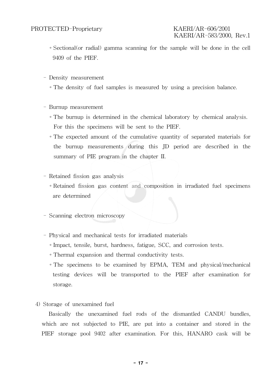# KAERI/AR-583/2000, Rev.1

- ∘Sectional(or radial) gamma scanning for the sample will be done in the cell 9409 of the PIEF.
- Density measurement
	- ∘The density of fuel samples is measured by using a precision balance.
- Burnup measurement
	- ∘The burnup is determined in the chemical laboratory by chemical analysis. For this the specimens will be sent to the PIEF.
	- ∘The expected amount of the cumulative quantity of separated materials for the burnup measurements during this JD period are described in the summary of PIE program in the chapter II.
- Retained fission gas analysis
	- ∘Retained fission gas content and composition in irradiated fuel specimens are determined
- Scanning electron microscopy
- Physical and mechanical tests for irradiated materials
	- ∘Impact, tensile, burst, hardness, fatigue, SCC, and corrosion tests.
	- ∘Thermal expansion and thermal conductivity tests.
	- ∘The specimens to be examined by EPMA, TEM and physical/mechanical testing devices will be transported to the PIEF after examination for storage.
- 4) Storage of unexamined fuel

Basically the unexamined fuel rods of the dismantled CANDU bundles, which are not subjected to PIE, are put into a container and stored in the PIEF storage pool 9402 after examination. For this, HANARO cask will be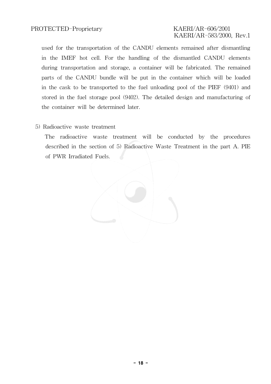# KAERI/AR-583/2000, Rev.1

used for the transportation of the CANDU elements remained after dismantling in the IMEF hot cell. For the handling of the dismantled CANDU elements during transportation and storage, a container will be fabricated. The remained parts of the CANDU bundle will be put in the container which will be loaded in the cask to be transported to the fuel unloading pool of the PIEF (9401) and stored in the fuel storage pool (9402). The detailed design and manufacturing of the container will be determined later.

#### 5) Radioactive waste treatment

The radioactive waste treatment will be conducted by the procedures described in the section of 5) Radioactive Waste Treatment in the part A. PIE of PWR Irradiated Fuels.

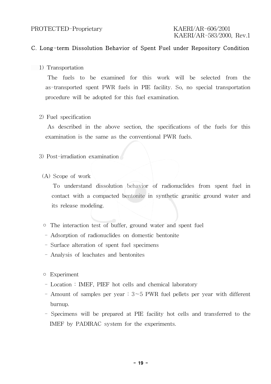#### C. Long-term Dissolution Behavior of Spent Fuel under Repository Condition

1) Transportation

The fuels to be examined for this work will be selected from the as-transported spent PWR fuels in PIE facility. So, no special transportation procedure will be adopted for this fuel examination.

2) Fuel specification

As described in the above section, the specifications of the fuels for this examination is the same as the conventional PWR fuels.

- 3) Post-irradiation examination
	- (A) Scope of work

To understand dissolution behavior of radionuclides from spent fuel in contact with a compacted bentonite in synthetic granitic ground water and its release modeling.

- The interaction test of buffer, ground water and spent fuel
- Adsorption of radionuclides on domestic bentonite
- Surface alteration of spent fuel specimens
- Analysis of leachates and bentonites
- Experiment
- Location : IMEF, PIEF hot cells and chemical laboratory
- Amount of samples per year : 3∼5 PWR fuel pellets per year with different burnup.
- Specimens will be prepared at PIE facility hot cells and transferred to the IMEF by PADIRAC system for the experiments.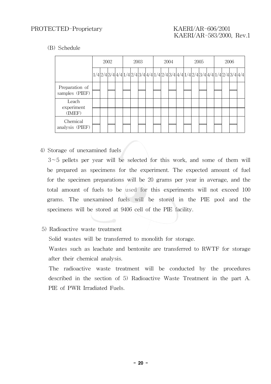(B) Schedule

|                                  | 2002 |  | 2003 |                                                                                    | 2004 |  |  | 2005 |  |  | 2006 |  |  |  |  |  |  |
|----------------------------------|------|--|------|------------------------------------------------------------------------------------|------|--|--|------|--|--|------|--|--|--|--|--|--|
|                                  |      |  |      | $1/4 2/4 3/4 4/4 1/4 2/4 3/4 4/4 1/4 2/4 3/4 4/4 1/4 2/4 3/4 4/4 1/4 2/4 3/4 4/4 $ |      |  |  |      |  |  |      |  |  |  |  |  |  |
| Preparation of<br>samples (PIEF) |      |  |      |                                                                                    |      |  |  |      |  |  |      |  |  |  |  |  |  |
| Leach<br>experiment              |      |  |      |                                                                                    |      |  |  |      |  |  |      |  |  |  |  |  |  |
| (IMEF)                           |      |  |      |                                                                                    |      |  |  |      |  |  |      |  |  |  |  |  |  |
| Chemical<br>analysis (PIEF)      |      |  |      |                                                                                    |      |  |  |      |  |  |      |  |  |  |  |  |  |

4) Storage of unexamined fuels

3∼5 pellets per year will be selected for this work, and some of them will be prepared as specimens for the experiment. The expected amount of fuel for the specimen preparations will be 20 grams per year in average, and the total amount of fuels to be used for this experiments will not exceed 100 grams. The unexamined fuels will be stored in the PIE pool and the specimens will be stored at 9406 cell of the PIE facility.

5) Radioactive waste treatment

Solid wastes will be transferred to monolith for storage.

Wastes such as leachate and bentonite are transferred to RWTF for storage after their chemical analysis.

The radioactive waste treatment will be conducted by the procedures described in the section of 5) Radioactive Waste Treatment in the part A. PIE of PWR Irradiated Fuels.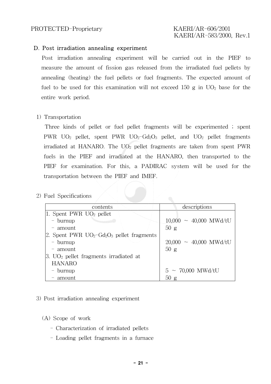#### D. Post irradiation annealing experiment

Post irradiation annealing experiment will be carried out in the PIEF to measure the amount of fission gas released from the irradiated fuel pellets by annealing (heating) the fuel pellets or fuel fragments. The expected amount of fuel to be used for this examination will not exceed 150 g in  $UO<sub>2</sub>$  base for the entire work period.

#### 1) Transportation

Three kinds of pellet or fuel pellet fragments will be experimented ; spent PWR  $UO_2$  pellet, spent PWR  $UO_2$ -Gd<sub>2</sub>O<sub>3</sub> pellet, and  $UO_2$  pellet fragments irradiated at HANARO. The  $UO<sub>2</sub>$  pellet fragments are taken from spent PWR fuels in the PIEF and irradiated at the HANARO, then transported to the PIEF for examination. For this, a PADIRAC system will be used for the transportation between the PIEF and IMEF.

2) Fuel Specifications

| contents                                                             | descriptions                        |
|----------------------------------------------------------------------|-------------------------------------|
| 1. Spent PWR $UO2$ pellet                                            |                                     |
| - burnup                                                             | $10,000 \sim 40,000 \text{ MWd/tU}$ |
| - amount                                                             | 50 g                                |
| 2. Spent PWR $UO_2$ -Gd <sub>2</sub> O <sub>3</sub> pellet fragments |                                     |
| - burnup                                                             | $20,000 \sim 40,000 \text{ MWd/tU}$ |
| - amount                                                             | 50g                                 |
| $ 3. UO_2 $ pellet fragments irradiated at                           |                                     |
| <b>HANARO</b>                                                        |                                     |
| - burnup                                                             | $5 \sim 70,000 \text{ MWd/tU}$      |
| - amount                                                             | 50 g                                |

#### 3) Post irradiation annealing experiment

(A) Scope of work

- Characterization of irradiated pellets
- Loading pellet fragments in a furnace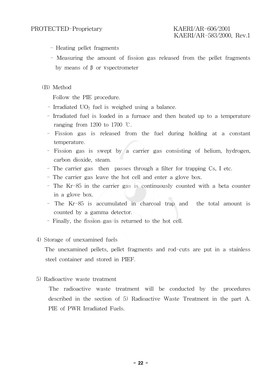- Heating pellet fragments
- Measuring the amount of fission gas released from the pellet fragments by means of  $\beta$  or Vspectrometer
- (B) Method

Follow the PIE procedure.

- Irradiated  $UO<sub>2</sub>$  fuel is weighed using a balance.
- Irradiated fuel is loaded in a furnace and then heated up to a temperature ranging from 1200 to 1700  $\degree$ C.
- Fission gas is released from the fuel during holding at a constant temperature.
- Fission gas is swept by a carrier gas consisting of helium, hydrogen, carbon dioxide, steam.
- The carrier gas then passes through a filter for trapping Cs, I etc.
- The carrier gas leave the hot cell and enter a glove box.
- The Kr-85 in the carrier gas is continuously counted with a beta counter in a glove box.
- The Kr-85 is accumulated in charcoal trap and the total amount is counted by a gamma detector.
- Finally, the fission gas is returned to the hot cell.

#### 4) Storage of unexamined fuels

The unexamined pellets, pellet fragments and rod-cuts are put in a stainless steel container and stored in PIEF.

5) Radioactive waste treatment

The radioactive waste treatment will be conducted by the procedures described in the section of 5) Radioactive Waste Treatment in the part A. PIE of PWR Irradiated Fuels.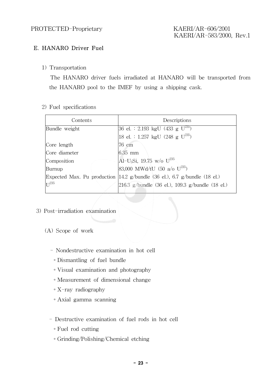### E. HANARO Driver Fuel

1) Transportation

The HANARO driver fuels irradiated at HANARO will be transported from the HANARO pool to the IMEF by using a shipping cask.

2) Fuel specifications

| Contents                    | Descriptions                                                                              |
|-----------------------------|-------------------------------------------------------------------------------------------|
| Bundle weight               | $ 36 \text{ el.}: 2.193 \text{ kgU} (433 \text{ g U}^{235})$                              |
|                             | [18 el. : 1.257 kgU (248 g U <sup>235</sup> )                                             |
| Core length                 | 76 cm                                                                                     |
| Core diameter               | $6.35$ mm                                                                                 |
| Composition                 | $\text{Al}-\text{U}_3\text{Si}$ , 19.75 w/o $\text{U}^{235}$                              |
| Burnup                      | 83,000 MWd/tU (50 a/o $U^{235}$ )                                                         |
| Expected Max. Pu production | $ 14.2 \text{ g/bundle} \, (36 \text{ el.}), \, 6.7 \text{ g/bundle} \, (18 \text{ el.})$ |
| $\Gamma$ <sup>235</sup>     | $ 216.3 \text{ g/bundle} $ (36 el.), 109.3 g/bundle (18 el.)                              |

- 3) Post-irradiation examination
	- (A) Scope of work
		- Nondestructive examination in hot cell
			- ∘Dismantling of fuel bundle
			- ∘Visual examination and photography
			- ∘Measurement of dimensional change
			- ∘X-ray radiography
			- ∘Axial gamma scanning
		- Destructive examination of fuel rods in hot cell
			- ∘Fuel rod cutting
			- ∘Grinding/Polishing/Chemical etching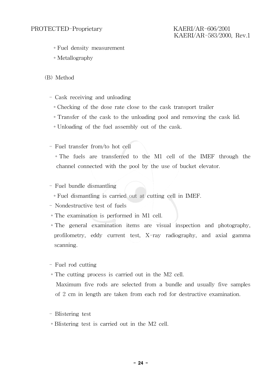# KAERI/AR-583/2000, Rev.1

- ∘Fuel density measurement
- ∘Metallography
- (B) Method
	- Cask receiving and unloading
		- ∘Checking of the dose rate close to the cask transport trailer
		- ∘Transfer of the cask to the unloading pool and removing the cask lid.
		- ∘Unloading of the fuel assembly out of the cask.
	- Fuel transfer from/to hot cell

∘The fuels are transferred to the M1 cell of the IMEF through the channel connected with the pool by the use of bucket elevator.

#### - Fuel bundle dismantling

- ∘Fuel dismantling is carried out at cutting cell in IMEF.
- Nondestructive test of fuels
- ∘The examination is performed in M1 cell.
- ∘The general examination items are visual inspection and photography, profilometry, eddy current test, X-ray radiography, and axial gamma scanning.
- Fuel rod cutting
- ∘The cutting process is carried out in the M2 cell.
	- Maximum five rods are selected from a bundle and usually five samples of 2 cm in length are taken from each rod for destructive examination.
- Blistering test
- ∘Blistering test is carried out in the M2 cell.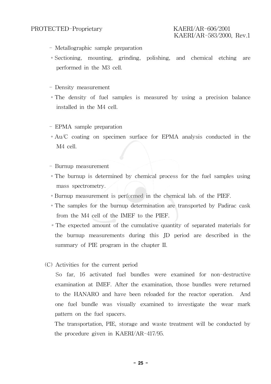## KAERI/AR-583/2000, Rev.1

- Metallographic sample preparation
- ∘Sectioning, mounting, grinding, polishing, and chemical etching are performed in the M3 cell.
- Density measurement
- ∘The density of fuel samples is measured by using a precision balance installed in the M4 cell.
- EPMA sample preparation
- ∘Au/C coating on specimen surface for EPMA analysis conducted in the M4 cell.
- Burnup measurement
- ∘The burnup is determined by chemical process for the fuel samples using mass spectrometry.
- ∘Burnup measurement is performed in the chemical lab. of the PIEF.
- ∘The samples for the burnup determination are transported by Padirac cask from the M4 cell of the IMEF to the PIEF.
- ∘The expected amount of the cumulative quantity of separated materials for the burnup measurements during this JD period are described in the summary of PIE program in the chapter II.
- (C) Activities for the current period

So far, 16 activated fuel bundles were examined for non-destructive examination at IMEF. After the examination, those bundles were returned to the HANARO and have been reloaded for the reactor operation. And one fuel bundle was visually examined to investigate the wear mark pattern on the fuel spacers.

The transportation, PIE, storage and waste treatment will be conducted by the procedure given in KAERI/AR-417/95.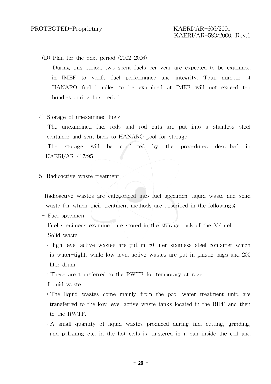- (D) Plan for the next period (2002-2006) During this period, two spent fuels per year are expected to be examined in IMEF to verify fuel performance and integrity. Total number of HANARO fuel bundles to be examined at IMEF will not exceed ten bundles during this period.
- 4) Storage of unexamined fuels

The unexamined fuel rods and rod cuts are put into a stainless steel container and sent back to HANARO pool for storage.

The storage will be conducted by the procedures described in KAERI/AR-417/95.

5) Radioactive waste treatment

Radioactive wastes are categorized into fuel specimen, liquid waste and solid waste for which their treatment methods are described in the followings;

- Fuel specimen

Fuel specimens examined are stored in the storage rack of the M4 cell

- Solid waste
	- ∘High level active wastes are put in 50 liter stainless steel container which is water-tight, while low level active wastes are put in plastic bags and 200 liter drum.
	- ∘These are transferred to the RWTF for temporary storage.
- Liquid waste
	- ∘The liquid wastes come mainly from the pool water treatment unit, are transferred to the low level active waste tanks located in the RIPF and then to the RWTF.
	- ∘A small quantity of liquid wastes produced during fuel cutting, grinding, and polishing etc. in the hot cells is plastered in a can inside the cell and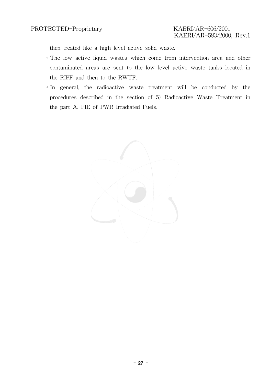then treated like a high level active solid waste.

- ∘The low active liquid wastes which come from intervention area and other contaminated areas are sent to the low level active waste tanks located in the RIPF and then to the RWTF.
- ∘In general, the radioactive waste treatment will be conducted by the procedures described in the section of 5) Radioactive Waste Treatment in the part A. PIE of PWR Irradiated Fuels.

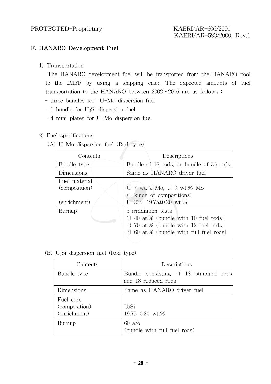### F. HANARO Development Fuel

1) Transportation

The HANARO development fuel will be transported from the HANARO pool to the IMEF by using a shipping cask. The expected amounts of fuel transportation to the HANARO between 2002∼2006 are as follows :

- three bundles for U-Mo dispersion fuel
- $-1$  bundle for U<sub>3</sub>Si dispersion fuel
- 4 mini-plates for U-Mo dispersion fuel

#### 2) Fuel specifications

(A) U-Mo dispersion fuel (Rod-type)

| Contents      | Descriptions                                                                                                                                     |  |  |  |  |
|---------------|--------------------------------------------------------------------------------------------------------------------------------------------------|--|--|--|--|
| Bundle type   | Bundle of 18 rods, or bundle of 36 rods                                                                                                          |  |  |  |  |
| Dimensions    | Same as HANARO driver fuel                                                                                                                       |  |  |  |  |
| Fuel material |                                                                                                                                                  |  |  |  |  |
| (composition) | U-7 wt.% Mo, U-9 wt.% Mo                                                                                                                         |  |  |  |  |
|               | (2 kinds of compositions)                                                                                                                        |  |  |  |  |
| (enrichment)  | U-235: $19.75 \pm 0.20$ wt.%                                                                                                                     |  |  |  |  |
| Burnup        | 3 irradiation tests<br>1) 40 at.% (bundle with 10 fuel rods)<br>2) 70 at.% (bundle with 12 fuel rods)<br>3) 60 at.% (bundle with full fuel rods) |  |  |  |  |

(B) U3Si dispersion fuel (Rod-type)

| Contents                                   | Descriptions                                                 |  |  |  |  |  |  |
|--------------------------------------------|--------------------------------------------------------------|--|--|--|--|--|--|
| Bundle type                                | Bundle consisting of 18 standard rods<br>and 18 reduced rods |  |  |  |  |  |  |
| Dimensions                                 | Same as HANARO driver fuel                                   |  |  |  |  |  |  |
| Fuel core<br>(composition)<br>(enrichment) | $U_3Si$<br>$19.75 \pm 0.20$ wt.%                             |  |  |  |  |  |  |
| Burnup                                     | $60 \text{ a/o}$<br>(bundle with full fuel rods)             |  |  |  |  |  |  |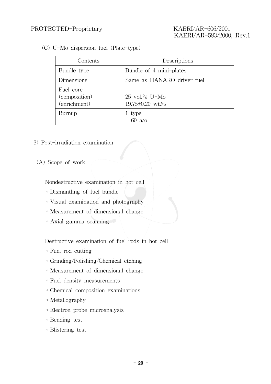(C) U-Mo dispersion fuel (Plate-type)

| Contents                                   | Descriptions                                              |
|--------------------------------------------|-----------------------------------------------------------|
| Bundle type                                | Bundle of 4 mini-plates                                   |
| Dimensions                                 | Same as HANARO driver fuel                                |
| Fuel core<br>(composition)<br>(enrichment) | $25 \text{ vol.}\% \text{ U-Mo}$<br>$19.75 \pm 0.20$ wt.% |
| Burnup                                     | 1 type<br>$-60 a/o$                                       |

- 3) Post-irradiation examination
	- (A) Scope of work
		- Nondestructive examination in hot cell
			- ∘Dismantling of fuel bundle
			- ∘Visual examination and photography
			- ∘Measurement of dimensional change
			- ∘Axial gamma scanning
		- Destructive examination of fuel rods in hot cell
			- ∘Fuel rod cutting
			- ∘Grinding/Polishing/Chemical etching
			- ∘Measurement of dimensional change
			- ∘Fuel density measurements
			- ∘Chemical composition examinations
			- ∘Metallography
			- ∘Electron probe microanalysis
			- ∘Bending test
			- ∘Blistering test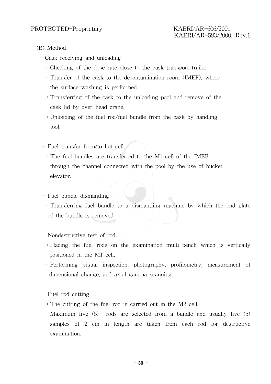- (B) Method
	- Cask receiving and unloading
		- ∘Checking of the dose rate close to the cask transport trailer
		- ∘Transfer of the cask to the decontamination room (IMEF), where the surface washing is performed.
		- ∘Transferring of the cask to the unloading pool and remove of the cask lid by over-head crane.
		- ∘Unloading of the fuel rod/fuel bundle from the cask by handling tool.
		- Fuel transfer from/to hot cell
			- ∘The fuel bundles are transferred to the M1 cell of the IMEF through the channel connected with the pool by the use of bucket elevator.
		- Fuel bundle dismantling
			- ∘Transferring fuel bundle to a dismantling machine by which the end plate of the bundle is removed.
		- Nondestructive test of rod
			- ∘Placing the fuel rods on the examination multi-bench which is vertically positioned in the M1 cell.
			- ∘Performing visual inspection, photography, profilometry, measurement of dimensional change, and axial gamma scanning.
		- Fuel rod cutting
			- ∘The cutting of the fuel rod is carried out in the M2 cell.
				- Maximum five (5) rods are selected from a bundle and usually five (5) samples of 2 cm in length are taken from each rod for destructive examination.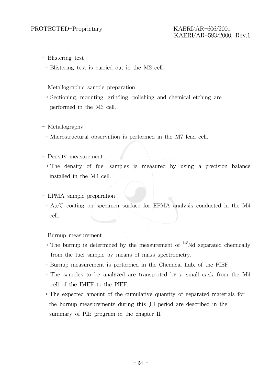- Blistering test
	- ∘Blistering test is carried out in the M2 cell.
- Metallographic sample preparation
	- ∘Sectioning, mounting, grinding, polishing and chemical etching are performed in the M3 cell.
- Metallography
	- ∘Microstructural observation is performed in the M7 lead cell.
- Density measurement
	- ∘The density of fuel samples is measured by using a precision balance installed in the M4 cell.
- EPMA sample preparation
	- ∘Au/C coating on specimen surface for EPMA analysis conducted in the M4 cell.

- Burnup measurement

- ∘The burnup is determined by the measurement of 148Nd separated chemically from the fuel sample by means of mass spectrometry.
- ∘Burnup measurement is performed in the Chemical Lab. of the PIEF.
- ∘The samples to be analyzed are transported by a small cask from the M4 cell of the IMEF to the PIEF.
- ∘The expected amount of the cumulative quantity of separated materials for the burnup measurements during this JD period are described in the summary of PIE program in the chapter II.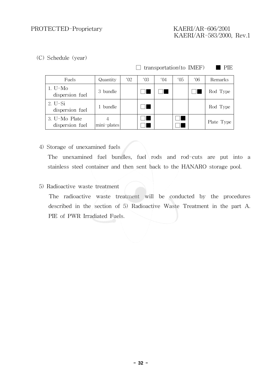# KAERI/AR-583/2000, Rev.1

(C) Schedule (year)

| $\Box$ transportation(to IMEF) | <b>PIE</b> |
|--------------------------------|------------|
|                                |            |

| Fuels                            | Quantity    | $'$ 02 | ′03 | $^{\prime}$ ()4 | ′05 | $^{\prime}$ 06 | Remarks    |
|----------------------------------|-------------|--------|-----|-----------------|-----|----------------|------------|
| $1. U-Mo$<br>dispersion fuel     | 3 bundle    |        |     |                 |     |                | Rod Type   |
| $2. U-Si$<br>dispersion fuel     | 1 bundle    |        |     |                 |     |                | Rod Type   |
| 3. U-Mo Plate<br>dispersion fuel | mini-plates |        |     |                 |     |                | Plate Type |

4) Storage of unexamined fuels

The unexamined fuel bundles, fuel rods and rod-cuts are put into a stainless steel container and then sent back to the HANARO storage pool.

5) Radioactive waste treatment

The radioactive waste treatment will be conducted by the procedures described in the section of 5) Radioactive Waste Treatment in the part A. PIE of PWR Irradiated Fuels.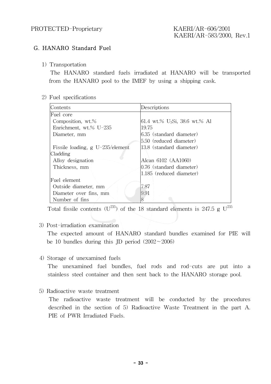#### G. HANARO Standard Fuel

1) Transportation

The HANARO standard fuels irradiated at HANARO will be transported from the HANARO pool to the IMEF by using a shipping cask.

#### 2) Fuel specifications

| Contents                           | Descriptions                              |  |  |  |
|------------------------------------|-------------------------------------------|--|--|--|
| Fuel core                          |                                           |  |  |  |
| Composition, wt.%                  | 61.4 wt.% U <sub>3</sub> Si, 38.6 wt.% Al |  |  |  |
| Enrichment, wt.% U-235             | 19.75                                     |  |  |  |
| Diameter, mm                       | 6.35 (standard diameter)                  |  |  |  |
|                                    | 5.50 (reduced diameter)                   |  |  |  |
| Fissile loading, $g U-235/element$ | 13.8 (standard diameter)                  |  |  |  |
| Cladding                           |                                           |  |  |  |
| Alloy designation                  | Alcan 6102 (AA1060)                       |  |  |  |
| Thickness, mm                      | $0.76$ (standard diameter)                |  |  |  |
|                                    | 1.185 (reduced diameter)                  |  |  |  |
| Fuel element                       |                                           |  |  |  |
| Outside diameter, mm               | 7.87                                      |  |  |  |
| Diameter over fins, mm             | 9.91                                      |  |  |  |
| Number of fins                     |                                           |  |  |  |

Total fissile contents  $(U^{235})$  of the 18 standard elements is 247.5 g  $U^{235}$ 

#### 3) Post-irradiation examination

The expected amount of HANARO standard bundles examined for PIE will be 10 bundles during this JD period (2002∼2006)

4) Storage of unexamined fuels

The unexamined fuel bundles, fuel rods and rod-cuts are put into a stainless steel container and then sent back to the HANARO storage pool.

5) Radioactive waste treatment

The radioactive waste treatment will be conducted by the procedures described in the section of 5) Radioactive Waste Treatment in the part A. PIE of PWR Irradiated Fuels.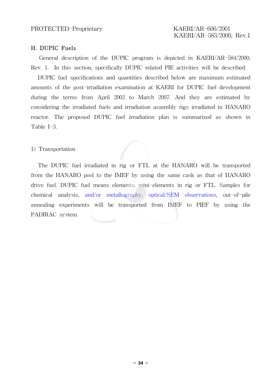#### H. DUPIC Fuels

General description of the DUPIC program is depicted in KAERI/AR-584/2000, Rev. 1. In this section, specifically DUPIC related PIE activities will be described.

DUPIC fuel specifications and quantities described below are maximum estimated amounts of the post-irradiation examination at KAERI for DUPIC fuel development during the terms from April 2002 to March 2007. And they are estimated by considering the irradiated fuels and irradiation assembly rigs irradiated in HANARO reactor. The proposed DUPIC fuel irradiation plan is summarized as shown in Table I-3.

#### 1) Transportation

The DUPIC fuel irradiated in rig or FTL at the HANARO will be transported from the HANARO pool to the IMEF by using the same cask as that of HANARO drive fuel. DUPIC fuel means elements, mini-elements in rig or FTL. Samples for chemical analysis, and/or metallography, optical/SEM observations, out-of-pile annealing experiments will be transported from IMEF to PIEF by using the PADIRAC system.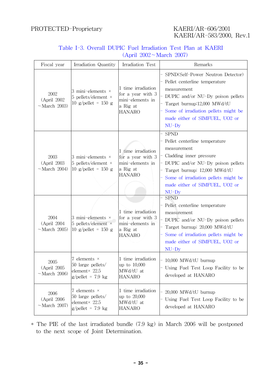# KAERI/AR-583/2000, Rev.1

| Table I-3. Overall DUPIC Fuel Irradiation Test Plan at KAERI |  |                         |  |  |
|--------------------------------------------------------------|--|-------------------------|--|--|
|                                                              |  | (Apri1 2002~March 2007) |  |  |

| Fiscal year                                 | Irradiation Quantity                                                                    | Irradiation Test                                                                         | Remarks                                                                                                                                                                                                                                           |
|---------------------------------------------|-----------------------------------------------------------------------------------------|------------------------------------------------------------------------------------------|---------------------------------------------------------------------------------------------------------------------------------------------------------------------------------------------------------------------------------------------------|
| 2002<br>(April 2002)<br>$~\sim$ March 2003) | 3 mini-elements $\times$<br>5 pellets/element $\times$<br>10 g/pellet = 150 g           | 1 time irradiation<br>for a year with 3<br>mini-elements in<br>a Rig at<br><b>HANARO</b> | SPND(Self-Power Neutron Detector)<br>Pellet centerline temperature<br>measurement<br>DUPIC and/or NU-Dy poison pellets<br>Target burnup:12,000 MWd/tU<br>Some of irradiation pellets might be<br>made either of SIMFUEL, UO2 or<br>$NU$ -Dy       |
| 2003<br>(April 2003<br>$~\sim$ March 2004)  | 3 mini-elements $\times$<br>$5$ pellets/element $\times$<br>10 g/pellet = 150 g         | 1 time irradiation<br>for a year with 3<br>mini-elements in<br>a Rig at<br><b>HANARO</b> | <b>SPND</b><br>Pellet centerline temperature<br>measurement<br>Cladding inner pressure<br>DUPIC and/or NU-Dy poison pellets<br>Target burnup: 12,000 MWd/tU<br>Some of irradiation pellets might be<br>made either of SIMFUEL, UO2 or<br>$NU$ -Dy |
| 2004<br>(April 2004<br>$~\sim$ March 2005)  | 3 mini-elements $\times$<br>$5$ pellets/element $\times$<br>10 g/pellet = $150$ g       | 1 time irradiation<br>for a year with 3<br>mini-elements in<br>a Rig at<br><b>HANARO</b> | <b>SPND</b><br>Pellet centerline temperature<br>measurement<br>DUPIC and/or NU-Dy poison pellets<br>Target burnup: 20,000 MWd/tU<br>Some of irradiation pellets might be<br>made either of SIMFUEL, UO2 or<br>$NU-Dy$                             |
| 2005<br>(April 2005<br>$~\sim$ March 2006)  | 7 elements $\times$<br>50 large pellets/<br>element× 22.5<br>$g$ /pellet = 7.9 kg       | 1 time irradiation<br>up to 10,000<br>MWd/tU at<br><b>HANARO</b>                         | 10,000 MWd/tU burnup<br>Using Fuel Test Loop Facility to be<br>developed at HANARO                                                                                                                                                                |
| 2006<br>(April 2006)<br>$~\sim$ March 2007) | 7 elements $\times$<br>50 large pellets/<br>element× 22.5<br>$g/\text{pellet} = 7.9$ kg | 1 time irradiation<br>up to 20,000<br>MWd/tU at<br><b>HANARO</b>                         | 20,000 MWd/tU burnup<br>Using Fuel Test Loop Facility to be<br>developed at HANARO                                                                                                                                                                |

\* The PIE of the last irradiated bundle (7.9 kg) in March 2006 will be postponed to the next scope of Joint Determination.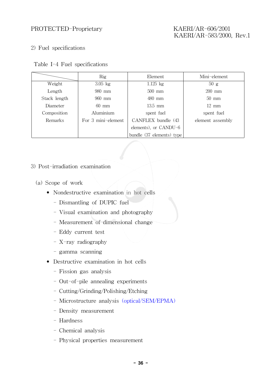#### 2) Fuel specifications

|  |  |  | Table I-4 Fuel specifications |
|--|--|--|-------------------------------|
|--|--|--|-------------------------------|

|                | Rig                | Element                   | Mini-element     |
|----------------|--------------------|---------------------------|------------------|
| Weight         | $3.05$ kg          | $1.125$ kg                | 50 g             |
| Length         | 980 mm             | $500$ mm                  | $200$ mm         |
| Stack length   | $960$ mm           | 480 mm                    | $50 \text{ mm}$  |
| Diameter       | 60 mm              | $13.5$ mm                 | $12 \text{ mm}$  |
| Composition    | Aluminium          | spent fuel                | spent fuel       |
| <b>Remarks</b> | For 3 mini-element | CANFLEX bundle (43)       | element assembly |
|                |                    | elements), or CANDU-6     |                  |
|                |                    | bundle (37 elements) type |                  |

#### 3) Post-irradiation examination

- (a) Scope of work
	- Nondestructive examination in hot cells
		- Dismantling of DUPIC fuel
		- Visual examination and photography
		- Measurement of dimensional change
		- Eddy current test
		- X-ray radiography
		- gamma scanning
	- Destructive examination in hot cells
		- Fission gas analysis
		- Out-of-pile annealing experiments
		- Cutting/Grinding/Polishing/Etching
		- Microstructure analysis (optical/SEM/EPMA)
		- Density measurement
		- Hardness
		- Chemical analysis
		- Physical properties measurement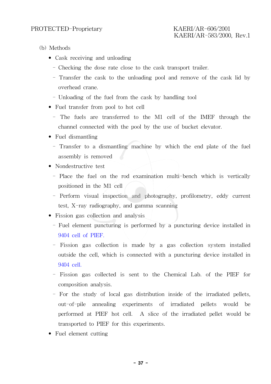- (b) Methods
	- Cask receiving and unloading
		- Checking the dose rate close to the cask transport trailer.
		- Transfer the cask to the unloading pool and remove of the cask lid by overhead crane.
		- Unloading of the fuel from the cask by handling tool
	- Fuel transfer from pool to hot cell
		- The fuels are transferred to the M1 cell of the IMEF through the channel connected with the pool by the use of bucket elevator.
	- Fuel dismantling
		- Transfer to a dismantling machine by which the end plate of the fuel assembly is removed
	- Nondestructive test
		- Place the fuel on the rod examination multi-bench which is vertically positioned in the M1 cell
		- Perform visual inspection and photography, profilometry, eddy current test, X-ray radiography, and gamma scanning
	- Fission gas collection and analysis
		- Fuel element puncturing is performed by a puncturing device installed in 9404 cell of PIEF.
		- Fission gas collection is made by a gas collection system installed outside the cell, which is connected with a puncturing device installed in 9404 cell.
		- Fission gas collected is sent to the Chemical Lab. of the PIEF for composition analysis.
		- For the study of local gas distribution inside of the irradiated pellets, out-of-pile annealing experiments of irradiated pellets would be performed at PIEF hot cell. A slice of the irradiated pellet would be transported to PIEF for this experiments.
	- Fuel element cutting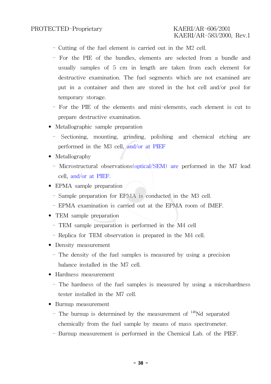- Cutting of the fuel element is carried out in the M2 cell.
- For the PIE of the bundles, elements are selected from a bundle and usually samples of 5 cm in length are taken from each element for destructive examination. The fuel segments which are not examined are put in a container and then are stored in the hot cell and/or pool for temporary storage.
- For the PIE of the elements and mini-elements, each element is cut to prepare destructive examination.
- Metallographic sample preparation
	- Sectioning, mounting, grinding, polishing and chemical etching are performed in the M3 cell, and/or at PIEF
- Metallography
	- Microstructural observations(optical/SEM) are performed in the M7 lead cell, and/or at PIEF.
- EPMA sample preparation
	- Sample preparation for EPMA is conducted in the M3 cell.
	- EPMA examination is carried out at the EPMA room of IMEF.
- TEM sample preparation
	- TEM sample preparation is performed in the M4 cell
	- Replica for TEM observation is prepared in the M4 cell.
- Density measurement
	- The density of the fuel samples is measured by using a precision balance installed in the M7 cell.
- Hardness measurement
	- The hardness of the fuel samples is measured by using a microhardness tester installed in the M7 cell.
- Burnup measurement
	- The burnup is determined by the measurement of  $148$ Nd separated chemically from the fuel sample by means of mass spectrometer.
	- Burnup measurement is performed in the Chemical Lab. of the PIEF.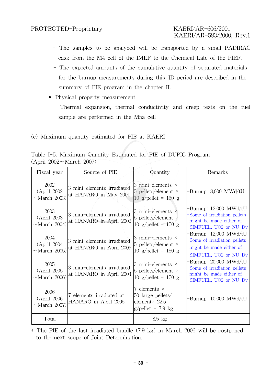- The samples to be analyzed will be transported by a small PADIRAC cask from the M4 cell of the IMEF to the Chemical Lab. of the PIEF.
- The expected amounts of the cumulative quantity of separated materials for the burnup measurements during this JD period are described in the summary of PIE program in the chapter II.
- Physical property measurement
	- Thermal expansion, thermal conductivity and creep tests on the fuel sample are performed in the M5a cell
- (c) Maximum quantity estimated for PIE at KAERI

| Table I-5. Maximum Quantity Estimated for PIE of DUPIC Program |  |  |
|----------------------------------------------------------------|--|--|
| (April $2002 - \text{March } 2007$ )                           |  |  |

| Fiscal year                                 | Source of PIE                                         | Quantity                                                                                  | Remarks                                                                                                   |
|---------------------------------------------|-------------------------------------------------------|-------------------------------------------------------------------------------------------|-----------------------------------------------------------------------------------------------------------|
| 2002<br>(April 2002)<br>$~\sim$ March 2003) | 3 mini-elements irradiated<br>at HANARO in May 2001   | 3 mini-elements $\times$<br>5 pellets/element $\times$<br>10 g/pellet = 150 g             | -Burnup: 8,000 MWd/tU                                                                                     |
| 2003<br>(April 2003)<br>$\sim$ March 2004)  | 3 mini-elements irradiated<br>at HANARO in April 2002 | 3 mini-elements $\times$<br>5 pellets/element $\times$<br>10 g/pellet = 150 g             | -Burnup: 12,000 MWd/tU<br>Some of irradiation pellets<br>might be made either of<br>SIMFUEL, UO2 or NU-Dy |
| 2004<br>(April 2004)<br>$~\sim$ March 2005) | 3 mini-elements irradiated<br>at HANARO in April 2003 | 3 mini-elements $\times$<br>5 pellets/element $\times$<br>10 g/pellet = 150 g             | -Burnup: 12,000 MWd/tU<br>Some of irradiation pellets<br>might be made either of<br>SIMFUEL, UO2 or NU-Dy |
| 2005<br>(April 2005)<br>$~\sim$ March 2006) | 3 mini-elements irradiated<br>at HANARO in April 2004 | 3 mini-elements $\times$<br>5 pellets/element $\times$<br>10 g/pellet = 150 g             | -Burnup: 20,000 MWd/tU<br>Some of irradiation pellets<br>might be made either of<br>SIMFUEL, UO2 or NU-Dy |
| 2006<br>(April 2006)<br>$\sim$ March 2007)  | 7 elements irradiated at<br>HANARO in April 2005      | 7 elements $\times$<br>50 large pellets/<br>element $\times$ 22.5<br>$g$ /pellet = 7.9 kg | -Burnup: 10,000 MWd/tU                                                                                    |
| Total                                       |                                                       | $8.5$ kg                                                                                  |                                                                                                           |

\* The PIE of the last irradiated bundle (7.9 kg) in March 2006 will be postponed to the next scope of Joint Determination.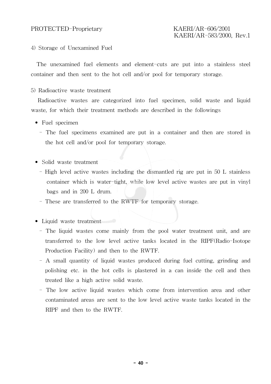## KAERI/AR-583/2000, Rev.1

#### 4) Storage of Unexamined Fuel

The unexamined fuel elements and element-cuts are put into a stainless steel container and then sent to the hot cell and/or pool for temporary storage.

5) Radioactive waste treatment

Radioactive wastes are categorized into fuel specimen, solid waste and liquid waste, for which their treatment methods are described in the followings

- Fuel specimen
	- The fuel specimens examined are put in a container and then are stored in the hot cell and/or pool for temporary storage.
- Solid waste treatment
	- High level active wastes including the dismantled rig are put in 50 L stainless container which is water-tight, while low level active wastes are put in vinyl bags and in 200 L drum.
	- These are transferred to the RWTF for temporary storage.

• Liquid waste treatment

- The liquid wastes come mainly from the pool water treatment unit, and are transferred to the low level active tanks located in the RIPF(Radio-Isotope Production Facility) and then to the RWTF.
- A small quantity of liquid wastes produced during fuel cutting, grinding and polishing etc. in the hot cells is plastered in a can inside the cell and then treated like a high active solid waste.
- The low active liquid wastes which come from intervention area and other contaminated areas are sent to the low level active waste tanks located in the RIPF and then to the RWTF.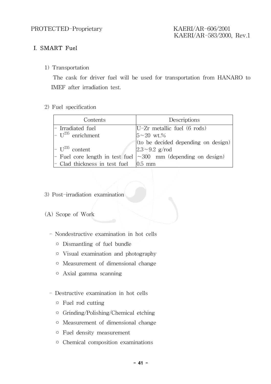### I. SMART Fuel

1) Transportation

The cask for driver fuel will be used for transportation from HANARO to IMEF after irradiation test.

#### 2) Fuel specification

| Contents                                             | Descriptions                                                        |
|------------------------------------------------------|---------------------------------------------------------------------|
| - Irradiated fuel                                    | $U-Zr$ metallic fuel (6 rods)                                       |
| $\vert$ - U <sup>235</sup> enrichment                | $5 - 20$ wt.%                                                       |
|                                                      | $\vert$ (to be decided depending on design) $\vert$                 |
| $\vert$ - U <sup>235</sup> content                   | $ 2.3 \sim 9.2$ g/rod                                               |
|                                                      | - Fuel core length in test fuel $\sim 300$ mm (depending on design) |
| $\vert$ - Clad thickness in test fuel $\vert$ 0.5 mm |                                                                     |

- 3) Post-irradiation examination
- (A) Scope of Work
	- Nondestructive examination in hot cells
		- Dismantling of fuel bundle
		- Visual examination and photography
		- Measurement of dimensional change
		- Axial gamma scanning
	- Destructive examination in hot cells
		- Fuel rod cutting
		- Grinding/Polishing/Chemical etching
		- Measurement of dimensional change
		- Fuel density measurement
		- Chemical composition examinations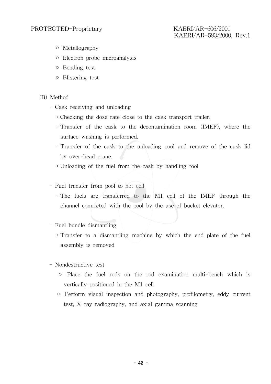- Metallography
- Electron probe microanalysis
- Bending test
- Blistering test
- (B) Method
	- Cask receiving and unloading
		- ∘Checking the dose rate close to the cask transport trailer.
		- ∘Transfer of the cask to the decontamination room (IMEF), where the surface washing is performed.
		- ∘Transfer of the cask to the unloading pool and remove of the cask lid by over-head crane.
		- ∘Unloading of the fuel from the cask by handling tool
	- Fuel transfer from pool to hot cell
		- ∘The fuels are transferred to the M1 cell of the IMEF through the channel connected with the pool by the use of bucket elevator.
	- Fuel bundle dismantling
		- ∘Transfer to a dismantling machine by which the end plate of the fuel assembly is removed
	- Nondestructive test
		- Place the fuel rods on the rod examination multi-bench which is vertically positioned in the M1 cell
		- Perform visual inspection and photography, profilometry, eddy current test, X-ray radiography, and axial gamma scanning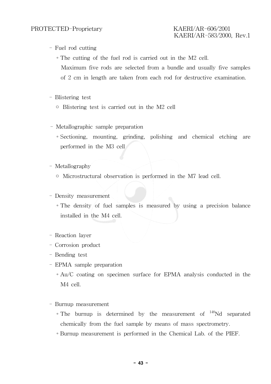- Fuel rod cutting
	- ∘The cutting of the fuel rod is carried out in the M2 cell. Maximum five rods are selected from a bundle and usually five samples of 2 cm in length are taken from each rod for destructive examination.
- Blistering test
	- Blistering test is carried out in the M2 cell
- Metallographic sample preparation
	- ∘Sectioning, mounting, grinding, polishing and chemical etching are performed in the M3 cell
- Metallography
	- Microstructural observation is performed in the M7 lead cell.
- Density measurement
	- ∘The density of fuel samples is measured by using a precision balance installed in the M4 cell.
- Reaction layer
- Corrosion product
- Bending test
- EPMA sample preparation
	- ∘Au/C coating on specimen surface for EPMA analysis conducted in the M4 cell.
- Burnup measurement
	- ∘The burnup is determined by the measurement of 148Nd separated chemically from the fuel sample by means of mass spectrometry.
	- ∘Burnup measurement is performed in the Chemical Lab. of the PIEF.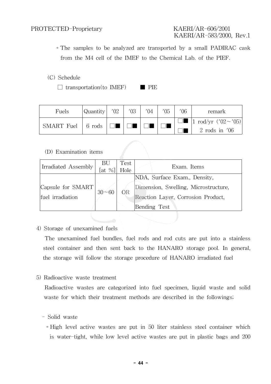∘The samples to be analyzed are transported by a small PADIRAC cask from the M4 cell of the IMEF to the Chemical Lab. of the PIEF.

#### (C) Schedule

 $\Box$  transportation(to IMEF) PIE

| Fuels                             | Quantity  '02 | $'03$ + | $^{\prime}04$ | $05^{\circ}$ | 06 | remark                                              |
|-----------------------------------|---------------|---------|---------------|--------------|----|-----------------------------------------------------|
| SMART Fuel $\vert$ 6 rods $\vert$ |               |         |               |              |    | $1 \text{ rod/yr}$ ('02 ~ '05)<br>$2$ rods in $'06$ |

#### (D) Examination items

| Irradiated Assembly | $\begin{bmatrix} \text{BU} \\ \text{fat} \ \% \end{bmatrix}$ | Test<br>Hole | Exam. Items                          |
|---------------------|--------------------------------------------------------------|--------------|--------------------------------------|
|                     |                                                              |              | NDA, Surface Exam., Density,         |
| Capsule for SMART   | $30 - 60$                                                    | <b>OR</b>    | Dimension, Swelling, Microstructure, |
| fuel irradiation    |                                                              |              | Reaction Layer, Corrosion Product,   |
|                     |                                                              |              | Bending Test                         |

#### 4) Storage of unexamined fuels

The unexamined fuel bundles, fuel rods and rod cuts are put into a stainless steel container and then sent back to the HANARO storage pool. In general, the storage will follow the storage procedure of HANARO irradiated fuel

5) Radioactive waste treatment

Radioactive wastes are categorized into fuel specimen, liquid waste and solid waste for which their treatment methods are described in the followings;

#### - Solid waste

∘High level active wastes are put in 50 liter stainless steel container which is water-tight, while low level active wastes are put in plastic bags and 200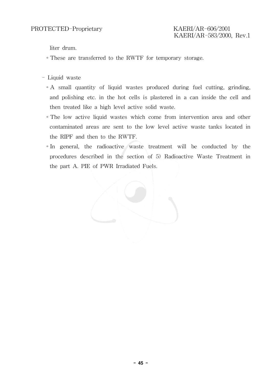liter drum.

- ∘These are transferred to the RWTF for temporary storage.
- Liquid waste
	- ∘A small quantity of liquid wastes produced during fuel cutting, grinding, and polishing etc. in the hot cells is plastered in a can inside the cell and then treated like a high level active solid waste.
	- ∘The low active liquid wastes which come from intervention area and other contaminated areas are sent to the low level active waste tanks located in the RIPF and then to the RWTF.
	- ∘In general, the radioactive waste treatment will be conducted by the procedures described in the section of 5) Radioactive Waste Treatment in the part A. PIE of PWR Irradiated Fuels.

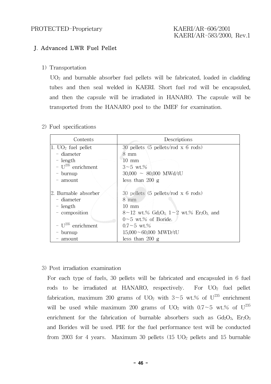#### J. Advanced LWR Fuel Pellet

1) Transportation

 $UO<sub>2</sub>$  and burnable absorber fuel pellets will be fabricated, loaded in cladding tubes and then seal welded in KAERI. Short fuel rod will be encapsuled, and then the capsule will be irradiated in HANARO. The capsule will be transported from the HANARO pool to the IMEF for examination.

2) Fuel specifications

| Contents                | Descriptions                                                                                     |
|-------------------------|--------------------------------------------------------------------------------------------------|
| $ 1. UO_2 $ fuel pellet | 30 pellets $(5 \text{ pellets/rod } x \text{ 6 rods})$                                           |
| - diameter              | $8 \text{ mm}$                                                                                   |
| $-$ length              | $10 \text{ mm}$                                                                                  |
| - $U^{235}$ enrichment  | $3 - 5$ wt.%                                                                                     |
| - burnup                | $30,000 \sim 80,000 \text{ MWd/tU}$                                                              |
| $-$ amount              | less than $200\ g$                                                                               |
|                         |                                                                                                  |
| 2. Burnable absorber    | 30 pellets $(5 \text{ pellets/rod } x \text{ 6 rods})$                                           |
| - diameter              | $8 \text{ mm}$                                                                                   |
| $-$ length              | $10 \text{ mm}$                                                                                  |
| - composition           | $8\sim12$ wt.% Gd <sub>2</sub> O <sub>3</sub> , $1\sim2$ wt.% Er <sub>2</sub> O <sub>3</sub> and |
|                         | $0~5$ wt.% of Boride.                                                                            |
| - $U^{235}$ enrichment  | $0.7 - 5$ wt.%                                                                                   |
| burnup                  | $15,000 \sim 60,000$ MWD/tU                                                                      |
| amount                  | less than $200\text{ g}$                                                                         |

3) Post irradiation examination

For each type of fuels, 30 pellets will be fabricated and encapsuled in 6 fuel rods to be irradiated at HANARO, respectively. For  $UO<sub>2</sub>$  fuel pellet fabrication, maximum 200 grams of UO<sub>2</sub> with 3∼5 wt.% of U<sup>235</sup> enrichment will be used while maximum 200 grams of UO<sub>2</sub> with 0.7∼5 wt.% of U<sup>235</sup> enrichment for the fabrication of burnable absorbers such as  $Gd_2O_3$ ,  $Er_2O_3$ and Borides will be used. PIE for the fuel performance test will be conducted from 2003 for 4 years. Maximum 30 pellets  $(15 \text{ UO}_2)$  pellets and 15 burnable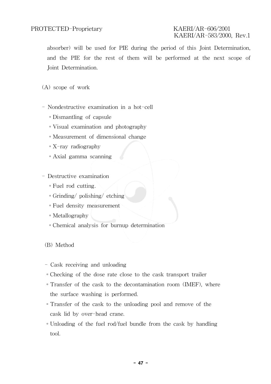# KAERI/AR-583/2000, Rev.1

absorber) will be used for PIE during the period of this Joint Determination, and the PIE for the rest of them will be performed at the next scope of Joint Determination.

(A) scope of work

- Nondestructive examination in a hot-cell
	- ∘Dismantling of capsule
	- ∘Visual examination and photography
	- ∘Measurement of dimensional change
	- ∘X-ray radiography
	- ∘Axial gamma scanning
- Destructive examination
	- ∘Fuel rod cutting.
	- ∘Grinding/ polishing/ etching
	- ∘Fuel density measurement
	- ∘Metallography
	- ∘Chemical analysis for burnup determination

(B) Method

- Cask receiving and unloading
- ∘Checking of the dose rate close to the cask transport trailer
- ∘Transfer of the cask to the decontamination room (IMEF), where the surface washing is performed.
- ∘Transfer of the cask to the unloading pool and remove of the cask lid by over-head crane.
- ∘Unloading of the fuel rod/fuel bundle from the cask by handling tool.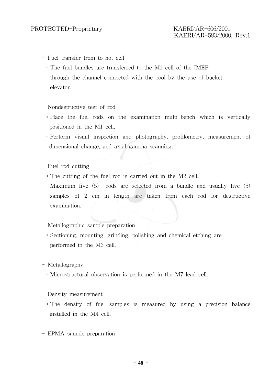- Fuel transfer from to hot cell
	- ∘The fuel bundles are transferred to the M1 cell of the IMEF through the channel connected with the pool by the use of bucket elevator.
- Nondestructive test of rod
	- ∘Place the fuel rods on the examination multi-bench which is vertically positioned in the M1 cell.
	- ∘Perform visual inspection and photography, profilometry, measurement of dimensional change, and axial gamma scanning.
- Fuel rod cutting
	- ∘The cutting of the fuel rod is carried out in the M2 cell. Maximum five (5) rods are selected from a bundle and usually five (5) samples of 2 cm in length are taken from each rod for destructive examination.
- Metallographic sample preparation
	- ∘Sectioning, mounting, grinding, polishing and chemical etching are performed in the M3 cell.
- Metallography
	- ∘Microstructural observation is performed in the M7 lead cell.
- Density measurement
	- ∘The density of fuel samples is measured by using a precision balance installed in the M4 cell.
- EPMA sample preparation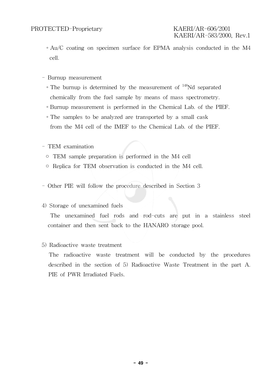## KAERI/AR-583/2000, Rev.1

- ∘Au/C coating on specimen surface for EPMA analysis conducted in the M4 cell.
- Burnup measurement
	- ∘The burnup is determined by the measurement of 148Nd separated chemically from the fuel sample by means of mass spectrometry.
	- ∘Burnup measurement is performed in the Chemical Lab. of the PIEF.
	- ∘The samples to be analyzed are transported by a small cask from the M4 cell of the IMEF to the Chemical Lab. of the PIEF.
- TEM examination
	- TEM sample preparation is performed in the M4 cell
	- Replica for TEM observation is conducted in the M4 cell.
- Other PIE will follow the procedure described in Section 3

#### 4) Storage of unexamined fuels

The unexamined fuel rods and rod-cuts are put in a stainless steel container and then sent back to the HANARO storage pool.

#### 5) Radioactive waste treatment

The radioactive waste treatment will be conducted by the procedures described in the section of 5) Radioactive Waste Treatment in the part A. PIE of PWR Irradiated Fuels.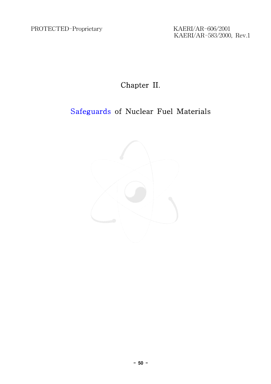KAERI/AR-583/2000, Rev.1

### Chapter II.

### Safeguards of Nuclear Fuel Materials

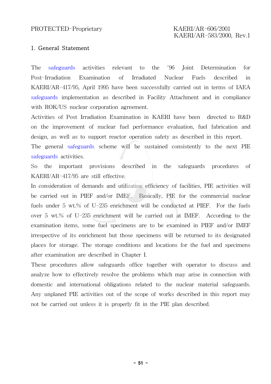#### 1. General Statement

The safeguards activities relevant to the '96 Joint Determination for Post-Irradiation Examination of Irradiated Nuclear Fuels described in KAERI/AR-417/95, April 1995 have been successfully carried out in terms of IAEA safeguards implementation as described in Facility Attachment and in compliance with ROK/US nuclear corporation agreement.

Activities of Post Irradiation Examination in KAERI have been directed to R&D on the improvement of nuclear fuel performance evaluation, fuel fabrication and design, as well as to support reactor operation safety as described in this report.

The general safeguards scheme will be sustained consistently to the next PIE safeguards activities.

So the important provisions described in the safeguards procedures of KAERI/AR-417/95 are still effective.

In consideration of demands and utilization efficiency of facilities, PIE activities will be carried out in PIEF and/or IMEF. Basically, PIE for the commercial nuclear fuels under 5 wt.% of U-235 enrichment will be conducted at PIEF. For the fuels over 5 wt.% of U-235 enrichment will be carried out at IMEF. According to the examination items, some fuel specimens are to be examined in PIEF and/or IMEF irrespective of its enrichment but those specimens will be returned to its designated places for storage. The storage conditions and locations for the fuel and specimens after examination are described in Chapter I.

These procedures allow safeguards office together with operator to discuss and analyze how to effectively resolve the problems which may arise in connection with domestic and international obligations related to the nuclear material safeguards. Any unplaned PIE activities out of the scope of works described in this report may not be carried out unless it is properly fit in the PIE plan described.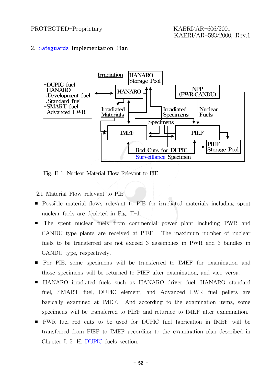#### 2. Safeguards Implementation Plan



Fig. II-1. Nuclear Material Flow Relevant to PIE

2.1 Material Flow relevant to PIE

- Possible material flows relevant to PIE for irradiated materials including spent nuclear fuels are depicted in Fig. II-1.
- The spent nuclear fuels from commercial power plant including PWR and CANDU type plants are received at PIEF. The maximum number of nuclear fuels to be transferred are not exceed 3 assemblies in PWR and 3 bundles in CANDU type, respectively.
- For PIE, some specimens will be transferred to IMEF for examination and those specimens will be returned to PIEF after examination, and vice versa.
- HANARO irradiated fuels such as HANARO driver fuel, HANARO standard fuel, SMART fuel, DUPIC element, and Advanced LWR fuel pellets are basically examined at IMEF. And according to the examination items, some specimens will be transferred to PIEF and returned to IMEF after examination.
- PWR fuel rod cuts to be used for DUPIC fuel fabrication in IMEF will be transferred from PIEF to IMEF according to the examination plan described in Chapter I. 3. H. DUPIC fuels section.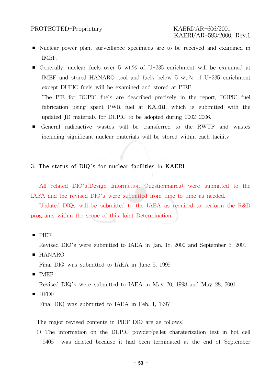# KAERI/AR-583/2000, Rev.1

- Nuclear power plant surveillance specimens are to be received and examined in IMEF.
- Generally, nuclear fuels over 5 wt.% of U-235 enrichment will be examined at IMEF and stored HANARO pool and fuels below 5 wt.% of U-235 enrichment except DUPIC fuels will be examined and stored at PIEF. The PIE for DUPIC fuels are described precisely in the report, DUPIC fuel fabrication using spent PWR fuel at KAERI, which is submitted with the updated JD materials for DUPIC to be adopted during 2002-2006.
- General radioactive wastes will be transferred to the RWTF and wastes including significant nuclear materials will be stored within each facility.

#### 3. The status of DIQ's for nuclear facilities in KAERI

All related DIQ's(Design Information Questionnaires) were submitted to the IAEA and the revised DIQ's were submitted from time to time as needed.

Updated DIQs will be submitted to the IAEA as required to perform the R&D programs within the scope of this Joint Determination.

■ PIEF

Revised DIQ's were submitted to IAEA in Jan. 18, 2000 and September 3, 2001

■ HANARO

Final DIQ was submitted to IAEA in June 5, 1999

■ IMEF

Revised DIQ's were submitted to IAEA in May 20, 1998 and May 28, 2001

■ DFDF

Final DIQ was submitted to IAEA in Feb. 1, 1997

The major revised contents in PIEF DIQ are as follows;

1) The information on the DUPIC powder/pellet charaterization test in hot cell 9405 was deleted because it had been terminated at the end of September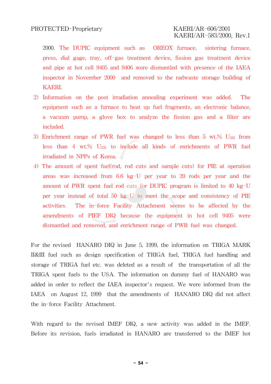2000. The DUPIC equipment such as OREOX furnace, sintering furnace, press, dial gage, tray, off-gas treatment device, fission gas treatment device and pipe at hot cell 9405 and 9406 were dismantled with presence of the IAEA inspector in November 2000 and removed to the radwaste storage building of KAERI.

- 2) Information on the post irradiation annealing experiment was added. The equipment such as a furnace to heat up fuel fragments, an electronic balance, a vacuum pump, a glove box to analyze the fission gas and a filter are included.
- 3) Enrichment range of PWR fuel was changed to less than 5 wt.%  $U_{235}$  from less than 4 wt.%  $U_{235}$  to include all kinds of enrichments of PWR fuel irradiated in NPPs of Korea.
- 4) The amount of spent fuel(rod, rod cuts and sample cuts) for PIE at operation areas was increased from 6.6 kg-U per year to 20 rods per year and the amount of PWR spent fuel rod cuts for DUPIC program is limited to 40 kg-U per year instead of total 50 kg-U to meet the scope and consistency of PIE activities. The in-force Facility Attachment seems to be affected by the amendments of PIEF DIQ because the equipment in hot cell 9405 were dismantled and removed, and enrichment range of PWR fuel was changed.

For the revised HANARO DIQ in June 5, 1999, the information on TRIGA MARK II&III fuel such as design specification of TRIGA fuel, TRIGA fuel handling and storage of TRIGA fuel etc. was deleted as a result of the transportation of all the TRIGA spent fuels to the USA. The information on dummy fuel of HANARO was added in order to reflect the IAEA inspector's request. We were informed from the IAEA on August 12, 1999 that the amendments of HANARO DIQ did not affect the in-force Facility Attachment.

With regard to the revised IMEF DIQ, a new activity was added in the IMEF. Before its revision, fuels irradiated in HANARO are transferred to the IMEF hot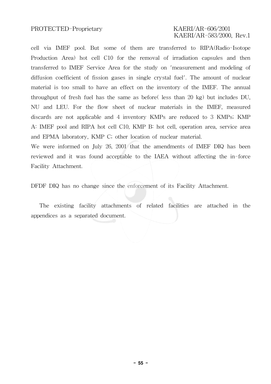# KAERI/AR-583/2000, Rev.1

cell via IMEF pool. But some of them are transferred to RIPA(Radio-Isotope Production Area) hot cell C10 for the removal of irradiation capsules and then transferred to IMEF Service Area for the study on 'measurement and modeling of diffusion coefficient of fission gases in single crystal fuel'. The amount of nuclear material is too small to have an effect on the inventory of the IMEF. The annual throughput of fresh fuel has the same as before( less than 20 kg) but includes DU, NU and LEU. For the flow sheet of nuclear materials in the IMEF, measured discards are not applicable and 4 inventory KMPs are reduced to 3 KMPs; KMP A: IMEF pool and RIPA hot cell C10, KMP B: hot cell, operation area, service area and EPMA laboratory, KMP C; other location of nuclear material.

We were informed on July 26, 2001 that the amendments of IMEF DIQ has been reviewed and it was found acceptable to the IAEA without affecting the in-force Facility Attachment.

DFDF DIQ has no change since the enforcement of its Facility Attachment.

The existing facility attachments of related facilities are attached in the appendices as a separated document.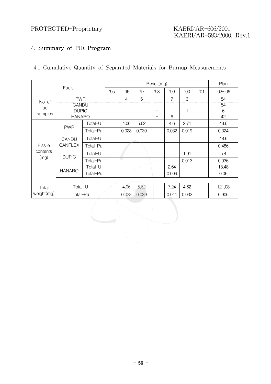# KAERI/AR-583/2000, Rev.1

### 4. Summary of PIE Program

|  |  |  |  |  |  |  |  | 4.1 Cumulative Quantity of Separated Materials for Burnup Measurements |
|--|--|--|--|--|--|--|--|------------------------------------------------------------------------|
|--|--|--|--|--|--|--|--|------------------------------------------------------------------------|

|                                                                                                                           | <b>Fuels</b>   |          |     |       |       | Result(mg) |       |             |  | Plan   |
|---------------------------------------------------------------------------------------------------------------------------|----------------|----------|-----|-------|-------|------------|-------|-------------|--|--------|
|                                                                                                                           | '95            | '96      | '97 | '98   | '99   | '00        | '01   | $'02 - '06$ |  |        |
|                                                                                                                           | <b>PWR</b>     |          |     | 4     | 6     | -          | 7     | 3           |  | 54     |
| No of                                                                                                                     |                |          |     |       |       |            |       |             |  | 54     |
|                                                                                                                           |                |          |     |       |       |            |       |             |  | 6      |
| <b>CANDU</b><br>fuel<br><b>DUPIC</b><br>samples<br><b>HANARO</b><br>Total-U<br><b>PWR</b><br>Total-Pu<br>Total-U<br>CANDU |                |          |     |       | 6     |            |       | 42          |  |        |
|                                                                                                                           |                |          |     | 4.06  | 5.62  |            | 4.6   | 2.71        |  | 48.6   |
|                                                                                                                           |                |          |     | 0.028 | 0.039 |            | 0.032 | 0.019       |  | 0.324  |
|                                                                                                                           |                |          |     |       |       |            |       |             |  | 48.6   |
| Fissile                                                                                                                   | <b>CANFLEX</b> | Total-Pu |     |       |       |            |       |             |  | 0.486  |
| contents                                                                                                                  | <b>DUPIC</b>   | Total-U  |     |       |       |            |       | 1.91        |  | 5.4    |
| (mg)                                                                                                                      |                | Total-Pu |     | e s   |       |            |       | 0.013       |  | 0.036  |
|                                                                                                                           |                | Total-U  |     |       |       |            | 2.64  |             |  | 18.48  |
|                                                                                                                           | <b>HANARO</b>  | Total-Pu |     |       |       |            | 0.009 |             |  | 0.06   |
|                                                                                                                           |                |          |     |       |       |            |       |             |  |        |
| Total                                                                                                                     | Total-U        |          |     | 4.06  | 5.62  |            | 7.24  | 4.62        |  | 121.08 |
| weight(mg)                                                                                                                | Total-Pu       |          |     | 0.028 | 0.039 |            | 0.041 | 0.032       |  | 0.906  |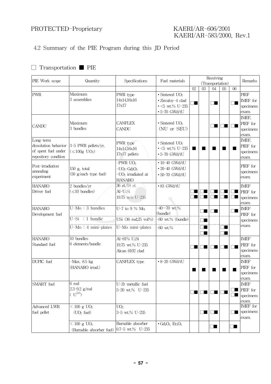# KAERI/AR-583/2000, Rev.1

#### 4.2 Summary of the PIE Program during this JD Period

#### □ Transportation ■ PIE

| PIE Work scope                              | Quantity                                | Specifications                                  | Fuel materials                            |    | Receiving | Remarks          |    |              |             |
|---------------------------------------------|-----------------------------------------|-------------------------------------------------|-------------------------------------------|----|-----------|------------------|----|--------------|-------------|
|                                             |                                         |                                                 |                                           |    |           | (Transportation) |    |              |             |
|                                             |                                         |                                                 |                                           | 02 | 03        | 04               | 05 | 06           |             |
| PWR                                         | Maximum                                 | PWR type                                        | $\bullet$ Sintered UO <sub>2</sub>        |    |           |                  |    |              | <b>PIEF</b> |
|                                             | 3 assemblies                            | 14x14,16x16                                     | • Zircaloy-4 clad                         |    |           |                  |    |              | IMEF for    |
|                                             |                                         | 17x17                                           | $\cdot$ <5 wt.% U-235                     |    |           |                  |    |              | specimens   |
|                                             |                                         |                                                 | $-5-70$ GWd/tU                            |    |           |                  |    |              | exam.       |
|                                             |                                         |                                                 |                                           |    |           |                  |    |              | IMEF,       |
| <b>CANDU</b>                                | Maximum                                 | <b>CANFLEX</b>                                  | $\bullet$ Sintered UO <sub>2</sub>        |    |           | П<br>ш           |    | $\mathbf{r}$ | PIEF for    |
|                                             | 3 bundles                               | <b>CANDU</b>                                    | (NU or SEU)                               |    |           |                  |    |              | specimens   |
|                                             |                                         |                                                 |                                           |    |           |                  |    |              | exam.       |
| Long-term                                   |                                         | PWR type                                        | $\bullet$ Sintered UO <sub>2</sub>        |    |           |                  |    |              | IMEF,       |
| dissolution behavior<br>of spent fuel under | 3-5 PWR pellets/yr,                     | 14x14,16x16                                     | $\cdot$ <5 wt.% U-235                     | п  |           | ٠                |    | ▅            | PIEF for    |
| repository condtion                         | $(\leq 100g$ UO <sub>2</sub> )          | 17x17 pellets                                   | $-5-70$ GWd/tU                            |    |           |                  |    |              | specimens   |
|                                             |                                         | $-PWR$ $UO2$                                    | $-10-40$ GWd/tU                           |    |           |                  |    |              | exam.       |
| Post-irradiation                            |                                         |                                                 | $-20-40$ GWd/tU                           |    |           |                  |    |              | PIEF for    |
| annealing                                   | $150$ g, total<br>(50 g/each type fuel) | $-UO2-Gd2O3$                                    |                                           |    |           |                  |    |              | specimens   |
| experiment                                  |                                         | -UO <sub>2</sub> irradiated at<br><b>HANARO</b> | $-50-70$ GWd/tU                           |    |           |                  |    |              | exam.       |
| <b>HANARO</b>                               | $2$ bundles/yr                          | 36 el./18 el.                                   | $-83$ GWd/tU                              |    |           |                  |    |              | <b>IMEF</b> |
| Driver fuel                                 | $(\leq 10$ bundles)                     | $Al-U_3Si$                                      |                                           |    |           |                  |    |              | PIEF for    |
|                                             |                                         | 19.75 w/o U-235                                 |                                           |    |           |                  |    |              | specimens   |
|                                             |                                         |                                                 |                                           |    |           |                  |    |              | exam.       |
| <b>HANARO</b>                               | $U-Mo: 3$ bundles                       | U-7 to 9 % Mo,                                  | $-40 - 70$ wt.%                           |    |           |                  |    |              | <b>IMEF</b> |
| Development fuel                            |                                         |                                                 | (bundle)                                  |    | H         | ▏▊               |    |              | PIEF for    |
|                                             | $U-Si : 1 bundle$                       | USi (36 rod, 25 vol%)                           | $-60$ wt.% (bundle)                       |    |           |                  |    |              | specimens   |
|                                             | $U-Mo: 4 mini-plates$                   | U-Mo mini-plates                                | $-60$ wt.%                                |    |           |                  |    |              | exam.       |
|                                             |                                         |                                                 |                                           |    |           |                  |    |              |             |
| <b>HANARO</b>                               | 10 bundles                              | Al-61% U <sub>3</sub> Si                        |                                           |    |           |                  |    |              | <b>IMEF</b> |
| Standard fuel                               | 6 elements/bundle                       | 19.75 wt.% U-235                                |                                           |    |           |                  |    |              | PIEF for    |
|                                             |                                         | Alcan 6102 clad                                 |                                           |    |           |                  |    | $\Box$       | specimens   |
|                                             |                                         |                                                 |                                           |    |           |                  |    |              | exam.       |
| DUPIC fuel                                  | $-Max. 8.5 kg$                          | CANFLEX type                                    | $-8-20$ GWd/tU                            |    |           |                  |    |              | <b>IMEF</b> |
|                                             | (HANARO irrad.)                         |                                                 |                                           |    |           |                  |    |              | PIEF for    |
|                                             |                                         |                                                 |                                           |    |           |                  |    |              | specimens   |
|                                             |                                         |                                                 |                                           |    |           |                  |    |              | exam.       |
| SMART fuel                                  | 6 rod                                   | U-Zr metallic fuel                              |                                           |    |           |                  |    |              | <b>IMEF</b> |
|                                             | $2.3 - 9.2$ g/rod                       | 5-20 wt.% U-235                                 |                                           |    |           |                  |    |              | PIEF for    |
|                                             | $(U^{235})$                             |                                                 |                                           |    |           | . .              |    |              | specimens   |
|                                             |                                         |                                                 |                                           |    |           |                  |    |              | exam.       |
| Advanced LWR                                | $< 100 \text{ g } UO2$                  | UO <sub>2</sub>                                 |                                           |    |           |                  |    |              | IMEF for    |
| fuel pellet                                 | (UO <sub>2</sub> fuel)                  | 3-5 wt.% U-235                                  |                                           |    | ٠         | 1 I L            |    |              | specimens   |
|                                             |                                         |                                                 |                                           |    |           |                  |    |              | exam.       |
|                                             | $< 100 \text{ g } UO_2$                 | Burnable absorber                               | $-Gd_2O_3$ Er <sub>2</sub> O <sub>3</sub> |    |           | I a              |    | - 11         |             |
|                                             | (Burnable absorber fuel)                | $ 0.7-5 \text{ wt.}\% \text{ U}$ -235           |                                           |    |           |                  |    |              |             |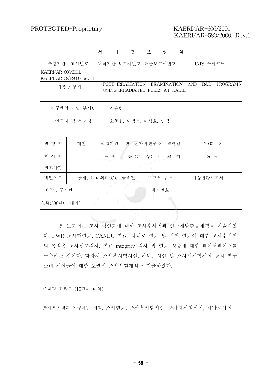# KAERI/AR-583/2000, Rev.1

|                    |                          | 서 | 지    | 정                                                   | 보 -        | 양                  | 식 |            |           |          |
|--------------------|--------------------------|---|------|-----------------------------------------------------|------------|--------------------|---|------------|-----------|----------|
|                    | 수행기관보고서번호                |   |      | 위탁기관 보고서번호                                          | 표준보고서번호    |                    |   |            | INIS 주제코드 |          |
| KAERI/AR-606/2001, | KAERI/AR-583/2000 Rev. 1 |   |      |                                                     |            |                    |   |            |           |          |
|                    | 제목 / 부제                  |   |      | POST-IRRADIATION<br>USING IRRADIATED FUELS AT KAERI |            | <b>EXAMINATION</b> |   | <b>AND</b> | R&D       | PROGRAMS |
|                    | 연구책임자 및 부서명              |   | 전용범  |                                                     |            |                    |   |            |           |          |
|                    | 연구자 및 부서명                |   |      | 소동섭, 이병두, 이성호, 민덕기                                  |            |                    |   |            |           |          |
|                    |                          |   |      |                                                     |            |                    |   |            |           |          |
| 발 행 지              | 대전                       |   | 발행기관 |                                                     | 한국원자력연구소   | 발행일                |   |            | 2000. 12  |          |
| 페 이 지              |                          |   | 도 표  |                                                     | 유(○), 무( ) | 크 기                |   |            | $26$ cm   |          |
| 참고사항               |                          |   |      |                                                     |            |                    |   |            |           |          |
| 비밀여부               | 공개(), 대외비(O), _급비밀       |   |      |                                                     | 보고서 종류     |                    |   |            | 기술현황보고서   |          |
| 위탁연구기관             |                          |   |      |                                                     | 계약번호       |                    |   |            |           |          |
| 초록(300단어 내외)       |                          |   |      |                                                     |            |                    |   |            |           |          |

본 보고서는 조사 핵연료에 대한 조사후시험과 연구개발활동계획을 기술하였 다. PWR 조사핵연료, CANDU 연료, 하나로 연료 및 시험 연료에 대한 조사후시험 의 목적은 조사성능검사, 연료 integrity 검사 및 연료 성능에 대한 데이터베이스를 구축하는 것이다. 따라서 조사후시험시설, 하나로시설 및 조사재시험시설 등의 연구 소내 시설들에 대한 포괄적 조사시험계획을 기술하였다.

주제명 키워드 (10단어 내외)

조사후시험과 연구개발 계획, 조사연료, 조사후시험시설, 조사재시험시설, 하나로시설